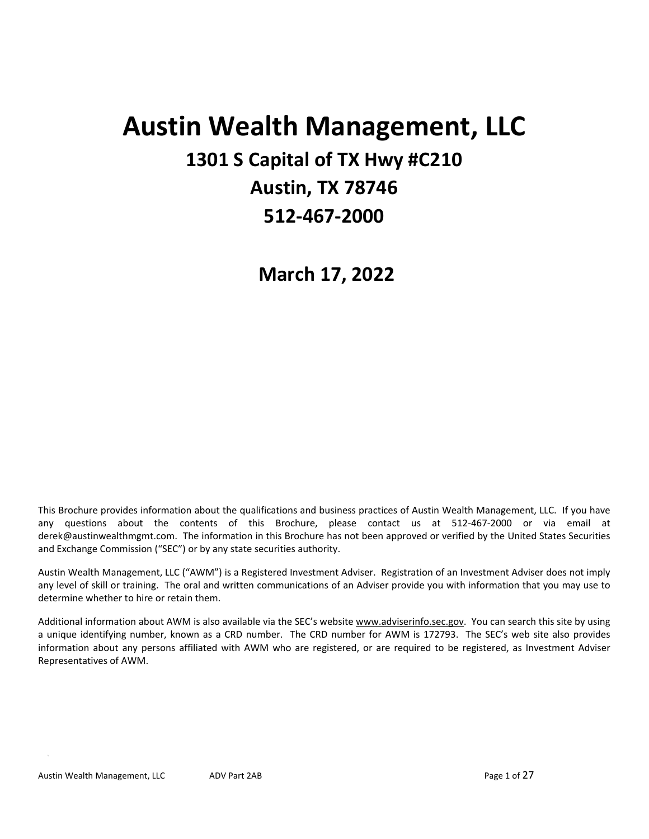# **Austin Wealth Management, LLC 1301 S Capital of TX Hwy #C210 Austin, TX 78746 512‐467‐2000**

**March 17, 2022** 

This Brochure provides information about the qualifications and business practices of Austin Wealth Management, LLC. If you have any questions about the contents of this Brochure, please contact us at 512‐467‐2000 or via email at derek@austinwealthmgmt.com. The information in this Brochure has not been approved or verified by the United States Securities and Exchange Commission ("SEC") or by any state securities authority.

Austin Wealth Management, LLC ("AWM") is a Registered Investment Adviser. Registration of an Investment Adviser does not imply any level of skill or training. The oral and written communications of an Adviser provide you with information that you may use to determine whether to hire or retain them.

Additional information about AWM is also available via the SEC's website www.adviserinfo.sec.gov. You can search this site by using a unique identifying number, known as a CRD number. The CRD number for AWM is 172793. The SEC's web site also provides information about any persons affiliated with AWM who are registered, or are required to be registered, as Investment Adviser Representatives of AWM.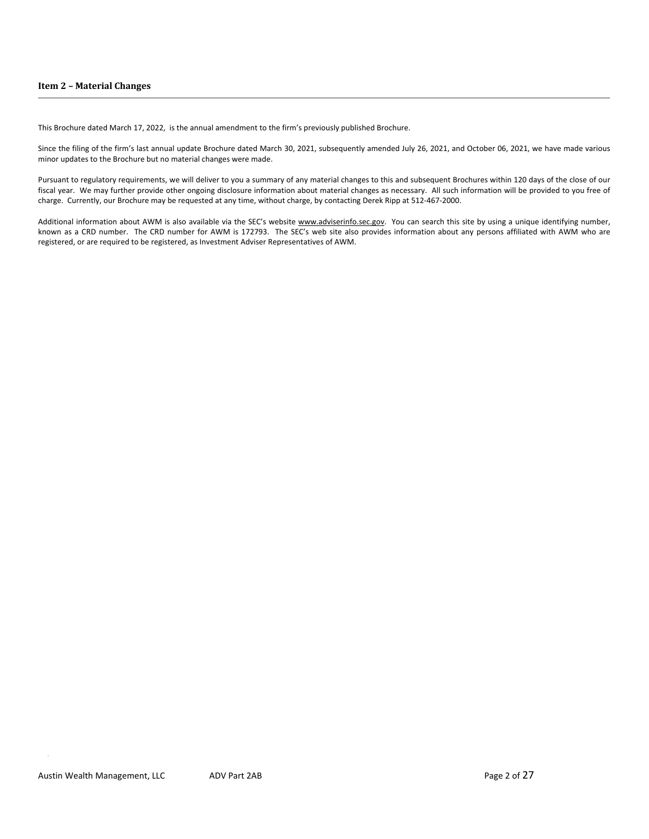This Brochure dated March 17, 2022, is the annual amendment to the firm's previously published Brochure.

Since the filing of the firm's last annual update Brochure dated March 30, 2021, subsequently amended July 26, 2021, and October 06, 2021, we have made various minor updates to the Brochure but no material changes were made.

Pursuant to regulatory requirements, we will deliver to you a summary of any material changes to this and subsequent Brochures within 120 days of the close of our fiscal year. We may further provide other ongoing disclosure information about material changes as necessary. All such information will be provided to you free of charge. Currently, our Brochure may be requested at any time, without charge, by contacting Derek Ripp at 512‐467‐2000.

Additional information about AWM is also available via the SEC's website www.adviserinfo.sec.gov. You can search this site by using a unique identifying number, known as a CRD number. The CRD number for AWM is 172793. The SEC's web site also provides information about any persons affiliated with AWM who are registered, or are required to be registered, as Investment Adviser Representatives of AWM.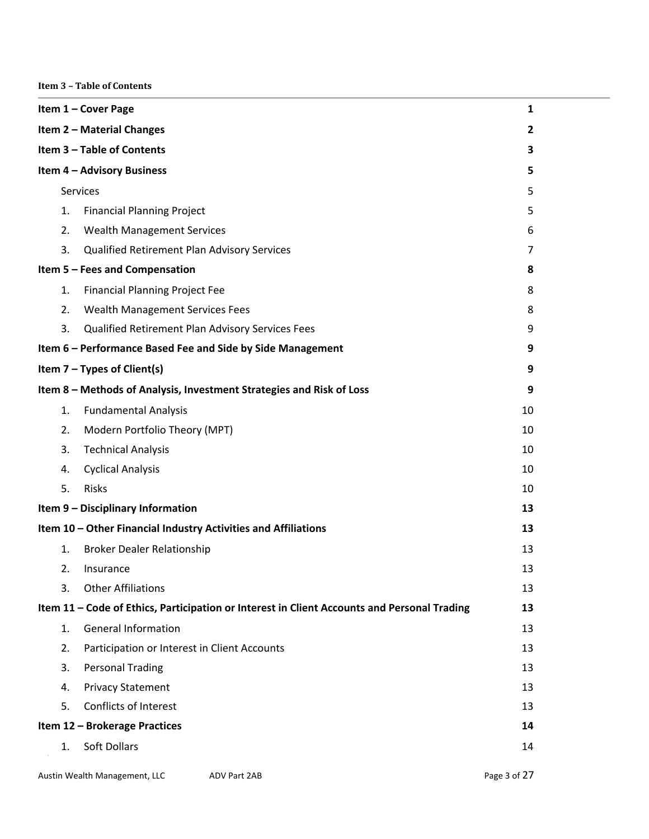**Item 3 – Table of Contents**

|                                  | Item 1 - Cover Page<br>1 |                                                                                             |                |
|----------------------------------|--------------------------|---------------------------------------------------------------------------------------------|----------------|
| <b>Item 2 - Material Changes</b> |                          |                                                                                             | $\overline{2}$ |
| Item 3 - Table of Contents       |                          |                                                                                             | 3              |
|                                  |                          | <b>Item 4 - Advisory Business</b>                                                           | 5              |
|                                  |                          | <b>Services</b>                                                                             | 5              |
|                                  | 1.                       | <b>Financial Planning Project</b>                                                           | 5              |
|                                  | 2.                       | <b>Wealth Management Services</b>                                                           | 6              |
|                                  | 3.                       | Qualified Retirement Plan Advisory Services                                                 | 7              |
|                                  |                          | Item 5 - Fees and Compensation                                                              | 8              |
|                                  | 1.                       | <b>Financial Planning Project Fee</b>                                                       | 8              |
|                                  | 2.                       | <b>Wealth Management Services Fees</b>                                                      | 8              |
|                                  | 3.                       | Qualified Retirement Plan Advisory Services Fees                                            | 9              |
|                                  |                          | Item 6 - Performance Based Fee and Side by Side Management                                  | 9              |
|                                  |                          | Item $7 - Types$ of Client(s)                                                               | 9              |
|                                  |                          | Item 8 - Methods of Analysis, Investment Strategies and Risk of Loss                        | 9              |
|                                  | 1.                       | <b>Fundamental Analysis</b>                                                                 | 10             |
|                                  | 2.                       | Modern Portfolio Theory (MPT)                                                               | 10             |
|                                  | 3.                       | <b>Technical Analysis</b>                                                                   | 10             |
|                                  | 4.                       | <b>Cyclical Analysis</b>                                                                    | 10             |
|                                  | 5.                       | <b>Risks</b>                                                                                | 10             |
|                                  |                          | Item 9 - Disciplinary Information                                                           | 13             |
|                                  |                          | Item 10 - Other Financial Industry Activities and Affiliations                              | 13             |
|                                  | 1.                       | <b>Broker Dealer Relationship</b>                                                           | 13             |
|                                  | 2.                       | Insurance                                                                                   | 13             |
|                                  | 3.                       | <b>Other Affiliations</b>                                                                   | 13             |
|                                  |                          | Item 11 - Code of Ethics, Participation or Interest in Client Accounts and Personal Trading | 13             |
|                                  | 1.                       | <b>General Information</b>                                                                  | 13             |
|                                  | 2.                       | Participation or Interest in Client Accounts                                                | 13             |
|                                  | 3.                       | <b>Personal Trading</b>                                                                     | 13             |
|                                  | 4.                       | <b>Privacy Statement</b>                                                                    | 13             |
|                                  | 5.                       | <b>Conflicts of Interest</b>                                                                | 13             |
|                                  |                          | Item 12 - Brokerage Practices                                                               | 14             |
|                                  | 1.                       | <b>Soft Dollars</b>                                                                         | 14             |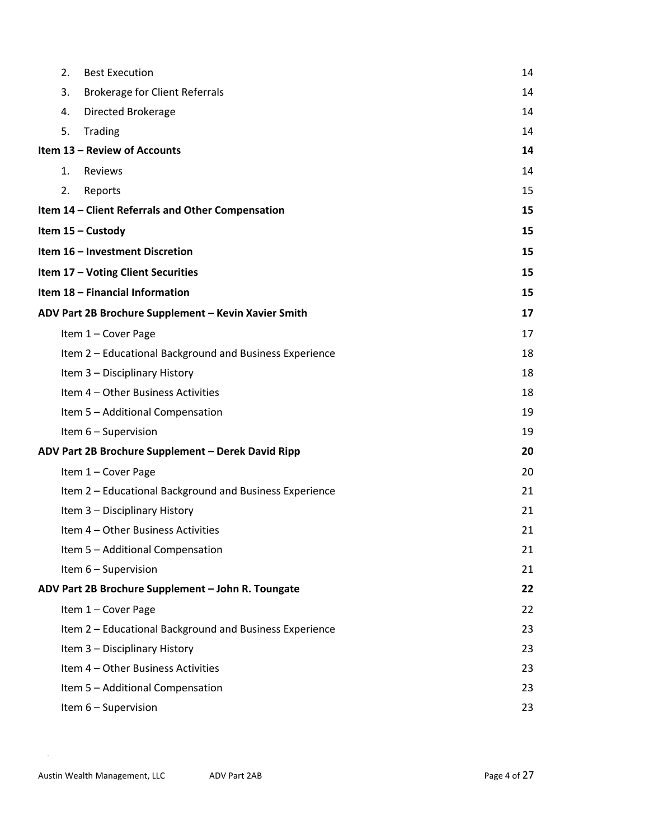| 2. | <b>Best Execution</b>                                   | 14 |
|----|---------------------------------------------------------|----|
| 3. | <b>Brokerage for Client Referrals</b>                   | 14 |
| 4. | Directed Brokerage                                      | 14 |
| 5. | Trading                                                 | 14 |
|    | Item 13 - Review of Accounts                            | 14 |
| 1. | Reviews                                                 | 14 |
| 2. | Reports                                                 | 15 |
|    | Item 14 - Client Referrals and Other Compensation       | 15 |
|    | Item 15 - Custody                                       | 15 |
|    | Item 16 - Investment Discretion                         | 15 |
|    | Item 17 - Voting Client Securities                      | 15 |
|    | Item 18 - Financial Information                         | 15 |
|    | ADV Part 2B Brochure Supplement - Kevin Xavier Smith    | 17 |
|    | Item 1 - Cover Page                                     | 17 |
|    | Item 2 - Educational Background and Business Experience | 18 |
|    | Item 3 - Disciplinary History                           | 18 |
|    | Item 4 - Other Business Activities                      | 18 |
|    | Item 5 - Additional Compensation                        | 19 |
|    | Item 6 - Supervision                                    | 19 |
|    | ADV Part 2B Brochure Supplement - Derek David Ripp      | 20 |
|    | Item 1 - Cover Page                                     | 20 |
|    | Item 2 - Educational Background and Business Experience | 21 |
|    | Item 3 - Disciplinary History                           | 21 |
|    | Item 4 - Other Business Activities                      | 21 |
|    | Item 5 - Additional Compensation                        | 21 |
|    | Item 6 - Supervision                                    | 21 |
|    | ADV Part 2B Brochure Supplement - John R. Toungate      | 22 |
|    | Item 1 - Cover Page                                     | 22 |
|    | Item 2 - Educational Background and Business Experience | 23 |
|    | Item 3 - Disciplinary History                           | 23 |
|    | Item 4 - Other Business Activities                      | 23 |
|    | Item 5 - Additional Compensation                        | 23 |
|    | Item 6 - Supervision                                    | 23 |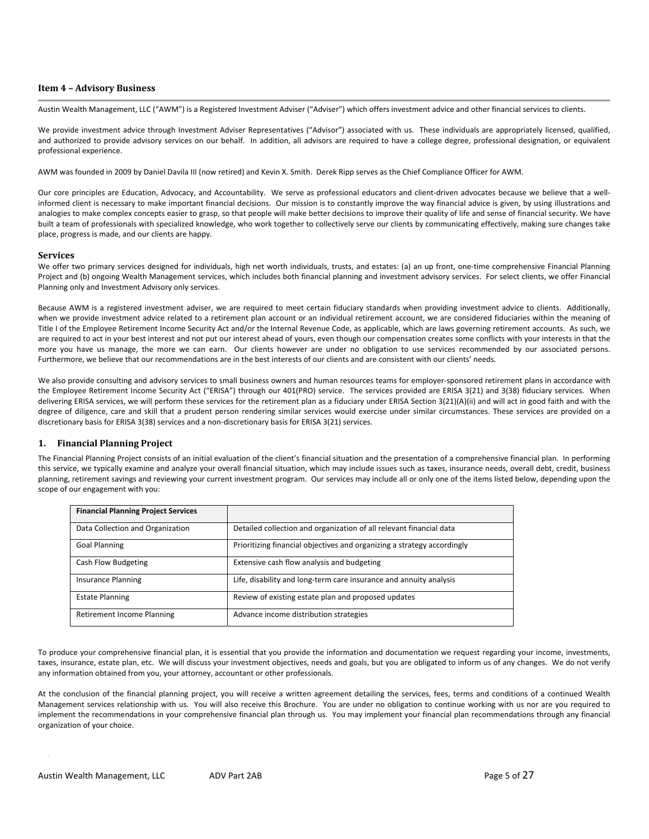# **Item 4 – Advisory Business**

Austin Wealth Management, LLC ("AWM") is a Registered Investment Adviser ("Adviser") which offers investment advice and other financial services to clients.

We provide investment advice through Investment Adviser Representatives ("Advisor") associated with us. These individuals are appropriately licensed, qualified, and authorized to provide advisory services on our behalf. In addition, all advisors are required to have a college degree, professional designation, or equivalent professional experience.

AWM was founded in 2009 by Daniel Davila III (now retired) and Kevin X. Smith. Derek Ripp serves as the Chief Compliance Officer for AWM.

Our core principles are Education, Advocacy, and Accountability. We serve as professional educators and client-driven advocates because we believe that a wellinformed client is necessary to make important financial decisions. Our mission is to constantly improve the way financial advice is given, by using illustrations and analogies to make complex concepts easier to grasp, so that people will make better decisions to improve their quality of life and sense of financial security. We have built a team of professionals with specialized knowledge, who work together to collectively serve our clients by communicating effectively, making sure changes take place, progress is made, and our clients are happy.

#### **Services**

We offer two primary services designed for individuals, high net worth individuals, trusts, and estates: (a) an up front, one-time comprehensive Financial Planning Project and (b) ongoing Wealth Management services, which includes both financial planning and investment advisory services. For select clients, we offer Financial Planning only and Investment Advisory only services.

Because AWM is a registered investment adviser, we are required to meet certain fiduciary standards when providing investment advice to clients. Additionally, when we provide investment advice related to a retirement plan account or an individual retirement account, we are considered fiduciaries within the meaning of Title I of the Employee Retirement Income Security Act and/or the Internal Revenue Code, as applicable, which are laws governing retirement accounts. As such, we are required to act in your best interest and not put our interest ahead of yours, even though our compensation creates some conflicts with your interests in that the more you have us manage, the more we can earn. Our clients however are under no obligation to use services recommended by our associated persons. Furthermore, we believe that our recommendations are in the best interests of our clients and are consistent with our clients' needs.

We also provide consulting and advisory services to small business owners and human resources teams for employer-sponsored retirement plans in accordance with the Employee Retirement Income Security Act ("ERISA") through our 401(PRO) service. The services provided are ERISA 3(21) and 3(38) fiduciary services. When delivering ERISA services, we will perform these services for the retirement plan as a fiduciary under ERISA Section 3(21)(A)(ii) and will act in good faith and with the degree of diligence, care and skill that a prudent person rendering similar services would exercise under similar circumstances. These services are provided on a discretionary basis for ERISA 3(38) services and a non‐discretionary basis for ERISA 3(21) services.

# **1. Financial Planning Project**

The Financial Planning Project consists of an initial evaluation of the client's financial situation and the presentation of a comprehensive financial plan. In performing this service, we typically examine and analyze your overall financial situation, which may include issues such as taxes, insurance needs, overall debt, credit, business planning, retirement savings and reviewing your current investment program. Our services may include all or only one of the items listed below, depending upon the scope of our engagement with you:

| <b>Financial Planning Project Services</b> |                                                                         |
|--------------------------------------------|-------------------------------------------------------------------------|
| Data Collection and Organization           | Detailed collection and organization of all relevant financial data     |
| <b>Goal Planning</b>                       | Prioritizing financial objectives and organizing a strategy accordingly |
| Cash Flow Budgeting                        | Extensive cash flow analysis and budgeting                              |
| <b>Insurance Planning</b>                  | Life, disability and long-term care insurance and annuity analysis      |
| <b>Estate Planning</b>                     | Review of existing estate plan and proposed updates                     |
| Retirement Income Planning                 | Advance income distribution strategies                                  |

To produce your comprehensive financial plan, it is essential that you provide the information and documentation we request regarding your income, investments, taxes, insurance, estate plan, etc. We will discuss your investment objectives, needs and goals, but you are obligated to inform us of any changes. We do not verify any information obtained from you, your attorney, accountant or other professionals.

At the conclusion of the financial planning project, you will receive a written agreement detailing the services, fees, terms and conditions of a continued Wealth Management services relationship with us. You will also receive this Brochure. You are under no obligation to continue working with us nor are you required to implement the recommendations in your comprehensive financial plan through us. You may implement your financial plan recommendations through any financial organization of your choice.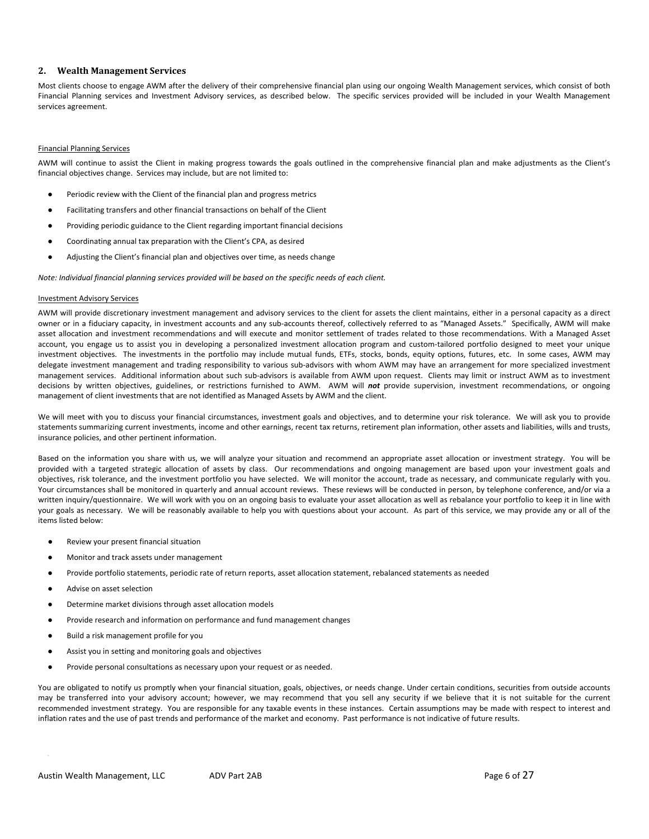# **2. Wealth Management Services**

Most clients choose to engage AWM after the delivery of their comprehensive financial plan using our ongoing Wealth Management services, which consist of both Financial Planning services and Investment Advisory services, as described below. The specific services provided will be included in your Wealth Management services agreement.

#### Financial Planning Services

AWM will continue to assist the Client in making progress towards the goals outlined in the comprehensive financial plan and make adjustments as the Client's financial objectives change. Services may include, but are not limited to:

- Periodic review with the Client of the financial plan and progress metrics
- Facilitating transfers and other financial transactions on behalf of the Client
- Providing periodic guidance to the Client regarding important financial decisions
- Coordinating annual tax preparation with the Client's CPA, as desired
- Adjusting the Client's financial plan and objectives over time, as needs change

*Note: Individual financial planning services provided will be based on the specific needs of each client.*

#### Investment Advisory Services

AWM will provide discretionary investment management and advisory services to the client for assets the client maintains, either in a personal capacity as a direct owner or in a fiduciary capacity, in investment accounts and any sub‐accounts thereof, collectively referred to as "Managed Assets." Specifically, AWM will make asset allocation and investment recommendations and will execute and monitor settlement of trades related to those recommendations. With a Managed Asset account, you engage us to assist you in developing a personalized investment allocation program and custom‐tailored portfolio designed to meet your unique investment objectives. The investments in the portfolio may include mutual funds, ETFs, stocks, bonds, equity options, futures, etc. In some cases, AWM may delegate investment management and trading responsibility to various sub-advisors with whom AWM may have an arrangement for more specialized investment management services. Additional information about such sub‐advisors is available from AWM upon request. Clients may limit or instruct AWM as to investment decisions by written objectives, guidelines, or restrictions furnished to AWM. AWM will not provide supervision, investment recommendations, or ongoing management of client investments that are not identified as Managed Assets by AWM and the client.

We will meet with you to discuss your financial circumstances, investment goals and objectives, and to determine your risk tolerance. We will ask you to provide statements summarizing current investments, income and other earnings, recent tax returns, retirement plan information, other assets and liabilities, wills and trusts, insurance policies, and other pertinent information.

Based on the information you share with us, we will analyze your situation and recommend an appropriate asset allocation or investment strategy. You will be provided with a targeted strategic allocation of assets by class. Our recommendations and ongoing management are based upon your investment goals and objectives, risk tolerance, and the investment portfolio you have selected. We will monitor the account, trade as necessary, and communicate regularly with you. Your circumstances shall be monitored in quarterly and annual account reviews. These reviews will be conducted in person, by telephone conference, and/or via a written inquiry/questionnaire. We will work with you on an ongoing basis to evaluate your asset allocation as well as rebalance your portfolio to keep it in line with your goals as necessary. We will be reasonably available to help you with questions about your account. As part of this service, we may provide any or all of the items listed below:

- Review your present financial situation
- Monitor and track assets under management
- Provide portfolio statements, periodic rate of return reports, asset allocation statement, rebalanced statements as needed
- Advise on asset selection
- Determine market divisions through asset allocation models
- Provide research and information on performance and fund management changes
- Build a risk management profile for you
- Assist you in setting and monitoring goals and objectives
- Provide personal consultations as necessary upon your request or as needed.

You are obligated to notify us promptly when your financial situation, goals, objectives, or needs change. Under certain conditions, securities from outside accounts may be transferred into your advisory account; however, we may recommend that you sell any security if we believe that it is not suitable for the current recommended investment strategy. You are responsible for any taxable events in these instances. Certain assumptions may be made with respect to interest and inflation rates and the use of past trends and performance of the market and economy. Past performance is not indicative of future results.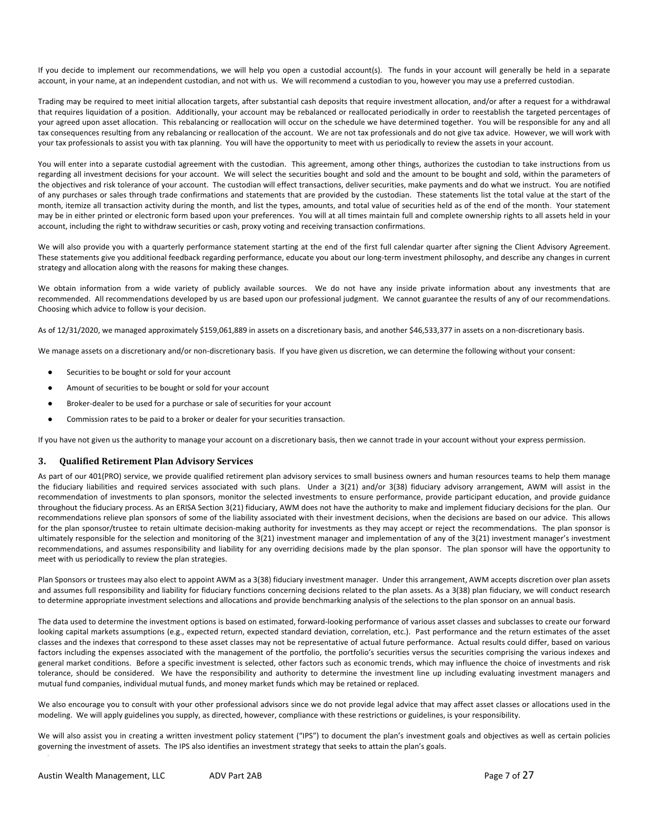If you decide to implement our recommendations, we will help you open a custodial account(s). The funds in your account will generally be held in a separate account, in your name, at an independent custodian, and not with us. We will recommend a custodian to you, however you may use a preferred custodian.

Trading may be required to meet initial allocation targets, after substantial cash deposits that require investment allocation, and/or after a request for a withdrawal that requires liquidation of a position. Additionally, your account may be rebalanced or reallocated periodically in order to reestablish the targeted percentages of your agreed upon asset allocation. This rebalancing or reallocation will occur on the schedule we have determined together. You will be responsible for any and all tax consequences resulting from any rebalancing or reallocation of the account. We are not tax professionals and do not give tax advice. However, we will work with your tax professionals to assist you with tax planning. You will have the opportunity to meet with us periodically to review the assets in your account.

You will enter into a separate custodial agreement with the custodian. This agreement, among other things, authorizes the custodian to take instructions from us regarding all investment decisions for your account. We will select the securities bought and sold and the amount to be bought and sold, within the parameters of the objectives and risk tolerance of your account. The custodian will effect transactions, deliver securities, make payments and do what we instruct. You are notified of any purchases or sales through trade confirmations and statements that are provided by the custodian. These statements list the total value at the start of the month, itemize all transaction activity during the month, and list the types, amounts, and total value of securities held as of the end of the month. Your statement may be in either printed or electronic form based upon your preferences. You will at all times maintain full and complete ownership rights to all assets held in your account, including the right to withdraw securities or cash, proxy voting and receiving transaction confirmations.

We will also provide you with a quarterly performance statement starting at the end of the first full calendar quarter after signing the Client Advisory Agreement. These statements give you additional feedback regarding performance, educate you about our long-term investment philosophy, and describe any changes in current strategy and allocation along with the reasons for making these changes.

We obtain information from a wide variety of publicly available sources. We do not have any inside private information about any investments that are recommended. All recommendations developed by us are based upon our professional judgment. We cannot guarantee the results of any of our recommendations. Choosing which advice to follow is your decision.

As of 12/31/2020, we managed approximately \$159,061,889 in assets on a discretionary basis, and another \$46,533,377 in assets on a non-discretionary basis.

We manage assets on a discretionary and/or non-discretionary basis. If you have given us discretion, we can determine the following without your consent:

- Securities to be bought or sold for your account
- Amount of securities to be bought or sold for your account
- Broker-dealer to be used for a purchase or sale of securities for your account
- Commission rates to be paid to a broker or dealer for your securities transaction.

If you have not given us the authority to manage your account on a discretionary basis, then we cannot trade in your account without your express permission.

#### **3. Qualified Retirement Plan Advisory Services**

As part of our 401(PRO) service, we provide qualified retirement plan advisory services to small business owners and human resources teams to help them manage the fiduciary liabilities and required services associated with such plans. Under a 3(21) and/or 3(38) fiduciary advisory arrangement, AWM will assist in the recommendation of investments to plan sponsors, monitor the selected investments to ensure performance, provide participant education, and provide guidance throughout the fiduciary process. As an ERISA Section 3(21) fiduciary, AWM does not have the authority to make and implement fiduciary decisions for the plan. Our recommendations relieve plan sponsors of some of the liability associated with their investment decisions, when the decisions are based on our advice. This allows for the plan sponsor/trustee to retain ultimate decision-making authority for investments as they may accept or reject the recommendations. The plan sponsor is ultimately responsible for the selection and monitoring of the 3(21) investment manager and implementation of any of the 3(21) investment manager's investment recommendations, and assumes responsibility and liability for any overriding decisions made by the plan sponsor. The plan sponsor will have the opportunity to meet with us periodically to review the plan strategies.

Plan Sponsors or trustees may also elect to appoint AWM as a 3(38) fiduciary investment manager. Under this arrangement, AWM accepts discretion over plan assets and assumes full responsibility and liability for fiduciary functions concerning decisions related to the plan assets. As a 3(38) plan fiduciary, we will conduct research to determine appropriate investment selections and allocations and provide benchmarking analysis of the selections to the plan sponsor on an annual basis.

The data used to determine the investment options is based on estimated, forward-looking performance of various asset classes and subclasses to create our forward looking capital markets assumptions (e.g., expected return, expected standard deviation, correlation, etc.). Past performance and the return estimates of the asset classes and the indexes that correspond to these asset classes may not be representative of actual future performance. Actual results could differ, based on various factors including the expenses associated with the management of the portfolio, the portfolio's securities versus the securities comprising the various indexes and general market conditions. Before a specific investment is selected, other factors such as economic trends, which may influence the choice of investments and risk tolerance, should be considered. We have the responsibility and authority to determine the investment line up including evaluating investment managers and mutual fund companies, individual mutual funds, and money market funds which may be retained or replaced.

We also encourage you to consult with your other professional advisors since we do not provide legal advice that may affect asset classes or allocations used in the modeling. We will apply guidelines you supply, as directed, however, compliance with these restrictions or guidelines, is your responsibility.

We will also assist you in creating a written investment policy statement ("IPS") to document the plan's investment goals and objectives as well as certain policies governing the investment of assets. The IPS also identifies an investment strategy that seeks to attain the plan's goals.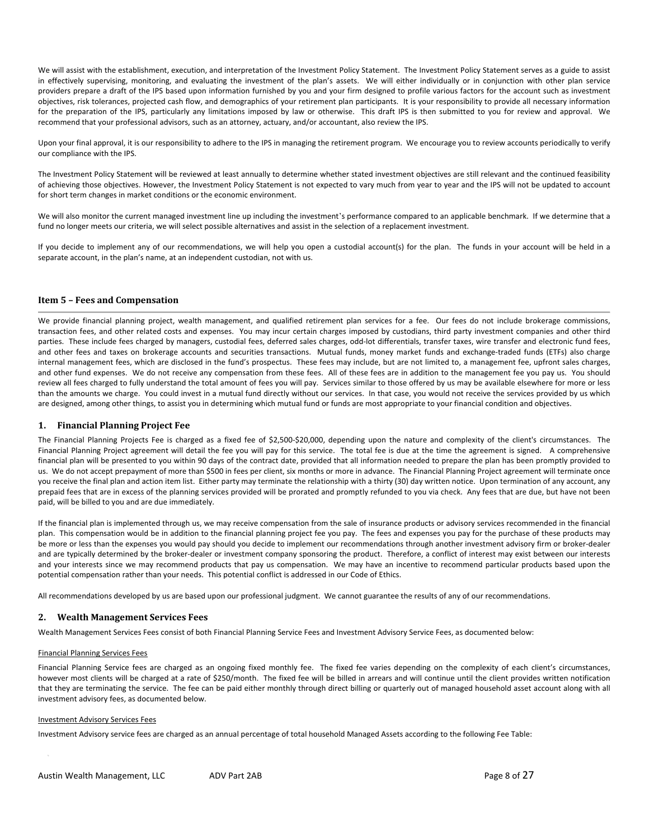We will assist with the establishment, execution, and interpretation of the Investment Policy Statement. The Investment Policy Statement serves as a guide to assist in effectively supervising, monitoring, and evaluating the investment of the plan's assets. We will either individually or in conjunction with other plan service providers prepare a draft of the IPS based upon information furnished by you and your firm designed to profile various factors for the account such as investment objectives, risk tolerances, projected cash flow, and demographics of your retirement plan participants. It is your responsibility to provide all necessary information for the preparation of the IPS, particularly any limitations imposed by law or otherwise. This draft IPS is then submitted to you for review and approval. We recommend that your professional advisors, such as an attorney, actuary, and/or accountant, also review the IPS.

Upon your final approval, it is our responsibility to adhere to the IPS in managing the retirement program. We encourage you to review accounts periodically to verify our compliance with the IPS.

The Investment Policy Statement will be reviewed at least annually to determine whether stated investment objectives are still relevant and the continued feasibility of achieving those objectives. However, the Investment Policy Statement is not expected to vary much from year to year and the IPS will not be updated to account for short term changes in market conditions or the economic environment.

We will also monitor the current managed investment line up including the investment's performance compared to an applicable benchmark. If we determine that a fund no longer meets our criteria, we will select possible alternatives and assist in the selection of a replacement investment.

If you decide to implement any of our recommendations, we will help you open a custodial account(s) for the plan. The funds in your account will be held in a separate account, in the plan's name, at an independent custodian, not with us.

#### **Item 5 – Fees and Compensation**

We provide financial planning project, wealth management, and qualified retirement plan services for a fee. Our fees do not include brokerage commissions, transaction fees, and other related costs and expenses. You may incur certain charges imposed by custodians, third party investment companies and other third parties. These include fees charged by managers, custodial fees, deferred sales charges, odd-lot differentials, transfer taxes, wire transfer and electronic fund fees, and other fees and taxes on brokerage accounts and securities transactions. Mutual funds, money market funds and exchange-traded funds (ETFs) also charge internal management fees, which are disclosed in the fund's prospectus. These fees may include, but are not limited to, a management fee, upfront sales charges, and other fund expenses. We do not receive any compensation from these fees. All of these fees are in addition to the management fee you pay us. You should review all fees charged to fully understand the total amount of fees you will pay. Services similar to those offered by us may be available elsewhere for more or less than the amounts we charge. You could invest in a mutual fund directly without our services. In that case, you would not receive the services provided by us which are designed, among other things, to assist you in determining which mutual fund or funds are most appropriate to your financial condition and objectives.

# **1. Financial Planning Project Fee**

The Financial Planning Projects Fee is charged as a fixed fee of \$2,500-\$20,000, depending upon the nature and complexity of the client's circumstances. The Financial Planning Project agreement will detail the fee you will pay for this service. The total fee is due at the time the agreement is signed. A comprehensive financial plan will be presented to you within 90 days of the contract date, provided that all information needed to prepare the plan has been promptly provided to us. We do not accept prepayment of more than \$500 in fees per client, six months or more in advance. The Financial Planning Project agreement will terminate once you receive the final plan and action item list. Either party may terminate the relationship with a thirty (30) day written notice. Upon termination of any account, any prepaid fees that are in excess of the planning services provided will be prorated and promptly refunded to you via check. Any fees that are due, but have not been paid, will be billed to you and are due immediately.

If the financial plan is implemented through us, we may receive compensation from the sale of insurance products or advisory services recommended in the financial plan. This compensation would be in addition to the financial planning project fee you pay. The fees and expenses you pay for the purchase of these products may be more or less than the expenses you would pay should you decide to implement our recommendations through another investment advisory firm or broker‐dealer and are typically determined by the broker-dealer or investment company sponsoring the product. Therefore, a conflict of interest may exist between our interests and your interests since we may recommend products that pay us compensation. We may have an incentive to recommend particular products based upon the potential compensation rather than your needs. This potential conflict is addressed in our Code of Ethics.

All recommendations developed by us are based upon our professional judgment. We cannot guarantee the results of any of our recommendations.

#### **2. Wealth Management Services Fees**

Wealth Management Services Fees consist of both Financial Planning Service Fees and Investment Advisory Service Fees, as documented below:

#### Financial Planning Services Fees

Financial Planning Service fees are charged as an ongoing fixed monthly fee. The fixed fee varies depending on the complexity of each client's circumstances, however most clients will be charged at a rate of \$250/month. The fixed fee will be billed in arrears and will continue until the client provides written notification that they are terminating the service. The fee can be paid either monthly through direct billing or quarterly out of managed household asset account along with all investment advisory fees, as documented below.

#### Investment Advisory Services Fees

Investment Advisory service fees are charged as an annual percentage of total household Managed Assets according to the following Fee Table: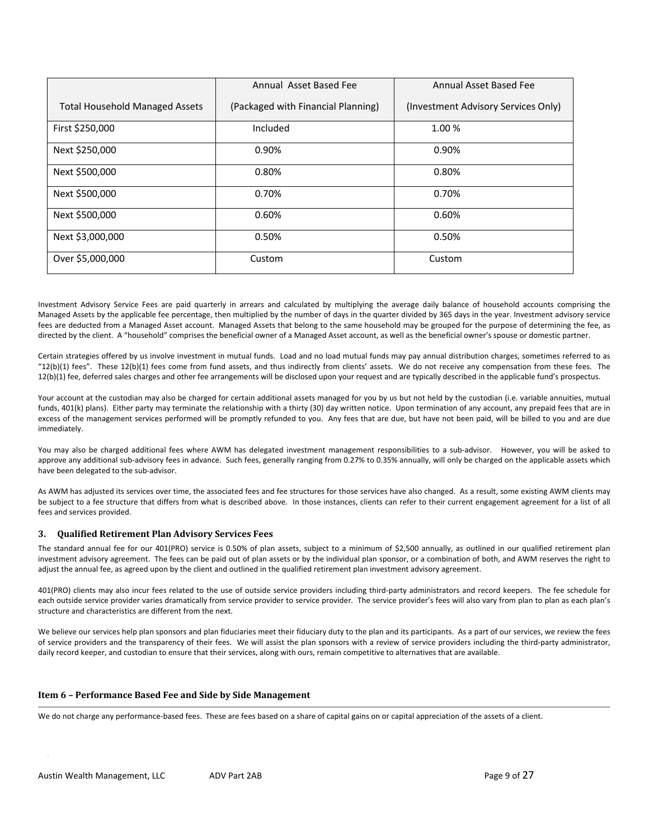|                                       | Annual Asset Based Fee             | Annual Asset Based Fee              |
|---------------------------------------|------------------------------------|-------------------------------------|
| <b>Total Household Managed Assets</b> | (Packaged with Financial Planning) | (Investment Advisory Services Only) |
| First \$250,000                       | Included                           | 1.00%                               |
| Next \$250,000                        | 0.90%                              | 0.90%                               |
| Next \$500,000                        | 0.80%                              | 0.80%                               |
| Next \$500,000                        | 0.70%                              | 0.70%                               |
| Next \$500,000                        | 0.60%                              | 0.60%                               |
| Next \$3,000,000                      | 0.50%                              | 0.50%                               |
| Over \$5,000,000                      | Custom                             | Custom                              |

Investment Advisory Service Fees are paid quarterly in arrears and calculated by multiplying the average daily balance of household accounts comprising the Managed Assets by the applicable fee percentage, then multiplied by the number of days in the quarter divided by 365 days in the year. Investment advisory service fees are deducted from a Managed Asset account. Managed Assets that belong to the same household may be grouped for the purpose of determining the fee, as directed by the client. A "household" comprises the beneficial owner of a Managed Asset account, as well as the beneficial owner's spouse or domestic partner.

Certain strategies offered by us involve investment in mutual funds. Load and no load mutual funds may pay annual distribution charges, sometimes referred to as  $"12(b)(1)$  fees". These  $12(b)(1)$  fees come from fund assets, and thus indirectly from clients' assets. We do not receive any compensation from these fees. The 12(b)(1) fee, deferred sales charges and other fee arrangements will be disclosed upon your request and are typically described in the applicable fund's prospectus.

Your account at the custodian may also be charged for certain additional assets managed for you by us but not held by the custodian (i.e. variable annuities, mutual funds, 401(k) plans). Either party may terminate the relationship with a thirty (30) day written notice. Upon termination of any account, any prepaid fees that are in excess of the management services performed will be promptly refunded to you. Any fees that are due, but have not been paid, will be billed to you and are due immediately.

You may also be charged additional fees where AWM has delegated investment management responsibilities to a sub-advisor. However, you will be asked to approve any additional sub‐advisory fees in advance. Such fees, generally ranging from 0.27% to 0.35% annually, will only be charged on the applicable assets which have been delegated to the sub-advisor.

As AWM has adjusted its services over time, the associated fees and fee structures for those services have also changed. As a result, some existing AWM clients may be subject to a fee structure that differs from what is described above. In those instances, clients can refer to their current engagement agreement for a list of all fees and services provided.

# **3. Qualified Retirement Plan Advisory Services Fees**

The standard annual fee for our 401(PRO) service is 0.50% of plan assets, subject to a minimum of \$2,500 annually, as outlined in our qualified retirement plan investment advisory agreement. The fees can be paid out of plan assets or by the individual plan sponsor, or a combination of both, and AWM reserves the right to adjust the annual fee, as agreed upon by the client and outlined in the qualified retirement plan investment advisory agreement.

401(PRO) clients may also incur fees related to the use of outside service providers including third-party administrators and record keepers. The fee schedule for each outside service provider varies dramatically from service provider to service provider. The service provider's fees will also vary from plan to plan as each plan's structure and characteristics are different from the next.

We believe our services help plan sponsors and plan fiduciaries meet their fiduciary duty to the plan and its participants. As a part of our services, we review the fees of service providers and the transparency of their fees. We will assist the plan sponsors with a review of service providers including the third‐party administrator, daily record keeper, and custodian to ensure that their services, along with ours, remain competitive to alternatives that are available.

# **Item 6 – Performance Based Fee and Side by Side Management**

We do not charge any performance-based fees. These are fees based on a share of capital gains on or capital appreciation of the assets of a client.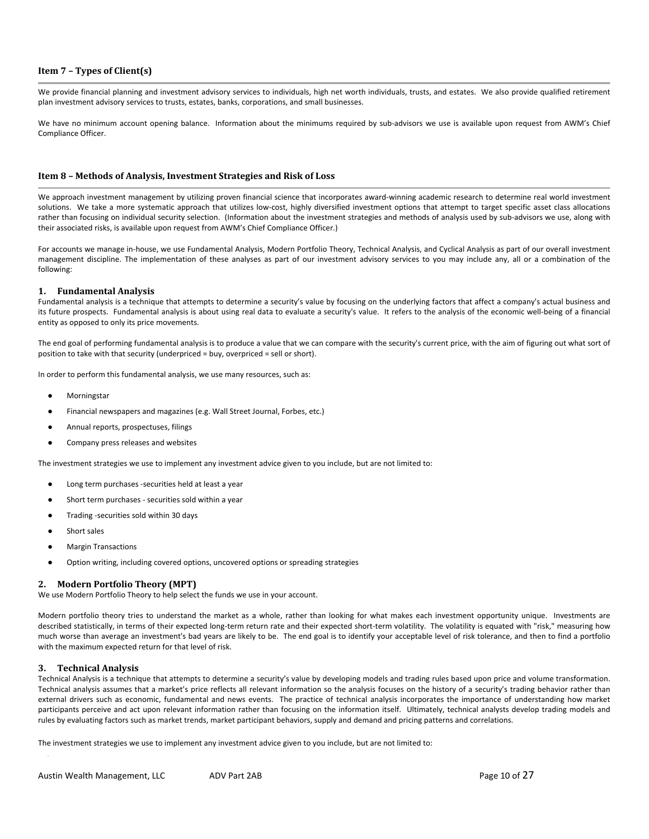# **Item 7 – Types of Client(s)**

We provide financial planning and investment advisory services to individuals, high net worth individuals, trusts, and estates. We also provide qualified retirement plan investment advisory services to trusts, estates, banks, corporations, and small businesses.

We have no minimum account opening balance. Information about the minimums required by sub-advisors we use is available upon request from AWM's Chief Compliance Officer.

## **Item 8 – Methods of Analysis, Investment Strategies and Risk of Loss**

We approach investment management by utilizing proven financial science that incorporates award-winning academic research to determine real world investment solutions. We take a more systematic approach that utilizes low-cost, highly diversified investment options that attempt to target specific asset class allocations rather than focusing on individual security selection. (Information about the investment strategies and methods of analysis used by sub-advisors we use, along with their associated risks, is available upon request from AWM's Chief Compliance Officer.)

For accounts we manage in-house, we use Fundamental Analysis, Modern Portfolio Theory, Technical Analysis, and Cyclical Analysis as part of our overall investment management discipline. The implementation of these analyses as part of our investment advisory services to you may include any, all or a combination of the following:

#### **1. Fundamental Analysis**

Fundamental analysis is a technique that attempts to determine a security's value by focusing on the underlying factors that affect a company's actual business and its future prospects. Fundamental analysis is about using real data to evaluate a security's value. It refers to the analysis of the economic well‐being of a financial entity as opposed to only its price movements.

The end goal of performing fundamental analysis is to produce a value that we can compare with the security's current price, with the aim of figuring out what sort of position to take with that security (underpriced = buy, overpriced = sell or short).

In order to perform this fundamental analysis, we use many resources, such as:

- Morningstar
- Financial newspapers and magazines (e.g. Wall Street Journal, Forbes, etc.)
- Annual reports, prospectuses, filings
- Company press releases and websites

The investment strategies we use to implement any investment advice given to you include, but are not limited to:

- Long term purchases -securities held at least a year
- Short term purchases securities sold within a year
- Trading ‐securities sold within 30 days
- Short sales
- Margin Transactions
- Option writing, including covered options, uncovered options or spreading strategies

#### **2. Modern Portfolio Theory (MPT)**

We use Modern Portfolio Theory to help select the funds we use in your account.

Modern portfolio theory tries to understand the market as a whole, rather than looking for what makes each investment opportunity unique. Investments are described statistically, in terms of their expected long-term return rate and their expected short-term volatility. The volatility is equated with "risk," measuring how much worse than average an investment's bad years are likely to be. The end goal is to identify your acceptable level of risk tolerance, and then to find a portfolio with the maximum expected return for that level of risk.

#### **3. Technical Analysis**

Technical Analysis is a technique that attempts to determine a security's value by developing models and trading rules based upon price and volume transformation. Technical analysis assumes that a market's price reflects all relevant information so the analysis focuses on the history of a security's trading behavior rather than external drivers such as economic, fundamental and news events. The practice of technical analysis incorporates the importance of understanding how market participants perceive and act upon relevant information rather than focusing on the information itself. Ultimately, technical analysts develop trading models and rules by evaluating factors such as market trends, market participant behaviors, supply and demand and pricing patterns and correlations.

The investment strategies we use to implement any investment advice given to you include, but are not limited to: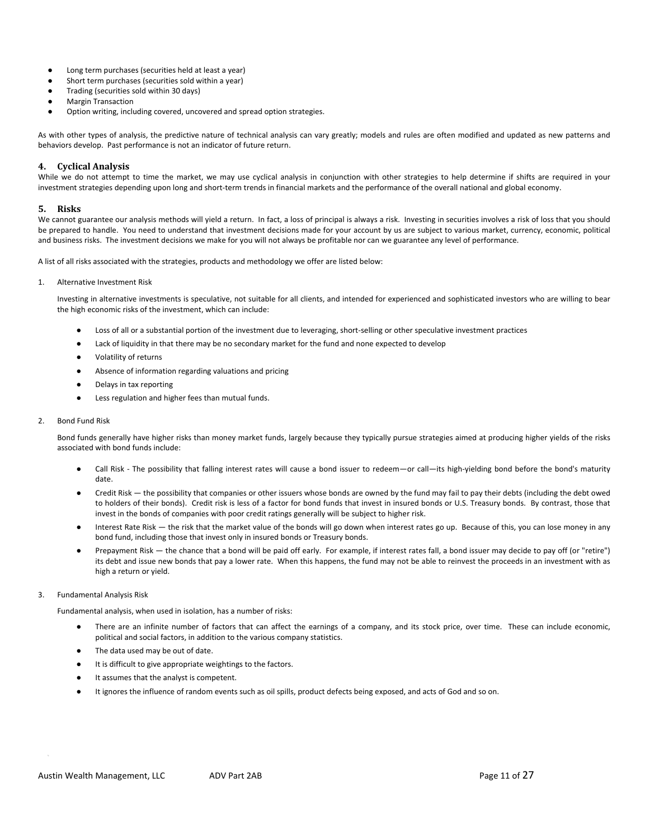- Long term purchases (securities held at least a year)
- Short term purchases (securities sold within a year)
- Trading (securities sold within 30 days)
- Margin Transaction
- Option writing, including covered, uncovered and spread option strategies.

As with other types of analysis, the predictive nature of technical analysis can vary greatly; models and rules are often modified and updated as new patterns and behaviors develop. Past performance is not an indicator of future return.

# **4. Cyclical Analysis**

While we do not attempt to time the market, we may use cyclical analysis in conjunction with other strategies to help determine if shifts are required in your investment strategies depending upon long and short-term trends in financial markets and the performance of the overall national and global economy.

#### **5. Risks**

We cannot guarantee our analysis methods will yield a return. In fact, a loss of principal is always a risk. Investing in securities involves a risk of loss that you should be prepared to handle. You need to understand that investment decisions made for your account by us are subject to various market, currency, economic, political and business risks. The investment decisions we make for you will not always be profitable nor can we guarantee any level of performance.

A list of all risks associated with the strategies, products and methodology we offer are listed below:

1. Alternative Investment Risk

Investing in alternative investments is speculative, not suitable for all clients, and intended for experienced and sophisticated investors who are willing to bear the high economic risks of the investment, which can include:

- Loss of all or a substantial portion of the investment due to leveraging, short-selling or other speculative investment practices
- Lack of liquidity in that there may be no secondary market for the fund and none expected to develop
- Volatility of returns
- Absence of information regarding valuations and pricing
- Delays in tax reporting
- Less regulation and higher fees than mutual funds.

#### 2. Bond Fund Risk

Bond funds generally have higher risks than money market funds, largely because they typically pursue strategies aimed at producing higher yields of the risks associated with bond funds include:

- Call Risk The possibility that falling interest rates will cause a bond issuer to redeem—or call—its high-yielding bond before the bond's maturity date.
- Credit Risk the possibility that companies or other issuers whose bonds are owned by the fund may fail to pay their debts (including the debt owed to holders of their bonds). Credit risk is less of a factor for bond funds that invest in insured bonds or U.S. Treasury bonds. By contrast, those that invest in the bonds of companies with poor credit ratings generally will be subject to higher risk.
- Interest Rate Risk the risk that the market value of the bonds will go down when interest rates go up. Because of this, you can lose money in any bond fund, including those that invest only in insured bonds or Treasury bonds.
- Prepayment Risk the chance that a bond will be paid off early. For example, if interest rates fall, a bond issuer may decide to pay off (or "retire") its debt and issue new bonds that pay a lower rate. When this happens, the fund may not be able to reinvest the proceeds in an investment with as high a return or yield.

# 3. Fundamental Analysis Risk

Fundamental analysis, when used in isolation, has a number of risks:

- There are an infinite number of factors that can affect the earnings of a company, and its stock price, over time. These can include economic, political and social factors, in addition to the various company statistics.
- The data used may be out of date.
- It is difficult to give appropriate weightings to the factors.
- It assumes that the analyst is competent.
- It ignores the influence of random events such as oil spills, product defects being exposed, and acts of God and so on.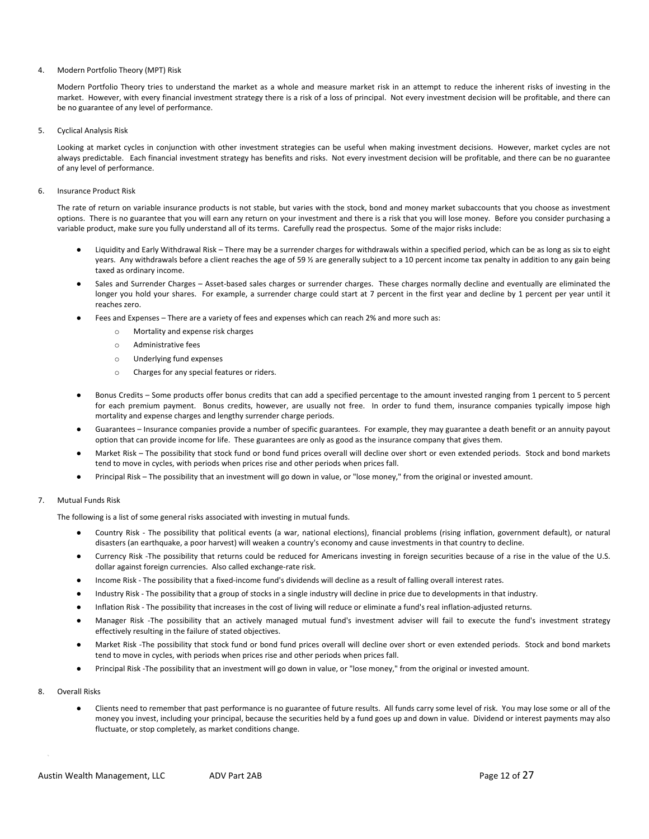#### 4. Modern Portfolio Theory (MPT) Risk

Modern Portfolio Theory tries to understand the market as a whole and measure market risk in an attempt to reduce the inherent risks of investing in the market. However, with every financial investment strategy there is a risk of a loss of principal. Not every investment decision will be profitable, and there can be no guarantee of any level of performance.

5. Cyclical Analysis Risk

Looking at market cycles in conjunction with other investment strategies can be useful when making investment decisions. However, market cycles are not always predictable. Each financial investment strategy has benefits and risks. Not every investment decision will be profitable, and there can be no guarantee of any level of performance.

6. Insurance Product Risk

The rate of return on variable insurance products is not stable, but varies with the stock, bond and money market subaccounts that you choose as investment options. There is no guarantee that you will earn any return on your investment and there is a risk that you will lose money. Before you consider purchasing a variable product, make sure you fully understand all of its terms. Carefully read the prospectus. Some of the major risks include:

- Liquidity and Early Withdrawal Risk There may be a surrender charges for withdrawals within a specified period, which can be as long as six to eight years. Any withdrawals before a client reaches the age of 59 % are generally subject to a 10 percent income tax penalty in addition to any gain being taxed as ordinary income.
- Sales and Surrender Charges Asset-based sales charges or surrender charges. These charges normally decline and eventually are eliminated the longer you hold your shares. For example, a surrender charge could start at 7 percent in the first year and decline by 1 percent per year until it reaches zero.
- Fees and Expenses There are a variety of fees and expenses which can reach 2% and more such as:
	- o Mortality and expense risk charges
	- o Administrative fees
	- o Underlying fund expenses
	- o Charges for any special features or riders.
- Bonus Credits Some products offer bonus credits that can add a specified percentage to the amount invested ranging from 1 percent to 5 percent for each premium payment. Bonus credits, however, are usually not free. In order to fund them, insurance companies typically impose high mortality and expense charges and lengthy surrender charge periods.
- Guarantees Insurance companies provide a number of specific guarantees. For example, they may guarantee a death benefit or an annuity payout option that can provide income for life. These guarantees are only as good as the insurance company that gives them.
- Market Risk The possibility that stock fund or bond fund prices overall will decline over short or even extended periods. Stock and bond markets tend to move in cycles, with periods when prices rise and other periods when prices fall.
- Principal Risk The possibility that an investment will go down in value, or "lose money," from the original or invested amount.

# 7. Mutual Funds Risk

The following is a list of some general risks associated with investing in mutual funds.

- Country Risk The possibility that political events (a war, national elections), financial problems (rising inflation, government default), or natural disasters (an earthquake, a poor harvest) will weaken a country's economy and cause investments in that country to decline.
- Currency Risk -The possibility that returns could be reduced for Americans investing in foreign securities because of a rise in the value of the U.S. dollar against foreign currencies. Also called exchange-rate risk.
- Income Risk The possibility that a fixed-income fund's dividends will decline as a result of falling overall interest rates.
- Industry Risk The possibility that a group of stocks in a single industry will decline in price due to developments in that industry.
- Inflation Risk The possibility that increases in the cost of living will reduce or eliminate a fund's real inflation-adjusted returns.
- Manager Risk -The possibility that an actively managed mutual fund's investment adviser will fail to execute the fund's investment strategy effectively resulting in the failure of stated objectives.
- Market Risk -The possibility that stock fund or bond fund prices overall will decline over short or even extended periods. Stock and bond markets tend to move in cycles, with periods when prices rise and other periods when prices fall.
- Principal Risk -The possibility that an investment will go down in value, or "lose money," from the original or invested amount.
- 8. Overall Risks
	- Clients need to remember that past performance is no guarantee of future results. All funds carry some level of risk. You may lose some or all of the money you invest, including your principal, because the securities held by a fund goes up and down in value. Dividend or interest payments may also fluctuate, or stop completely, as market conditions change.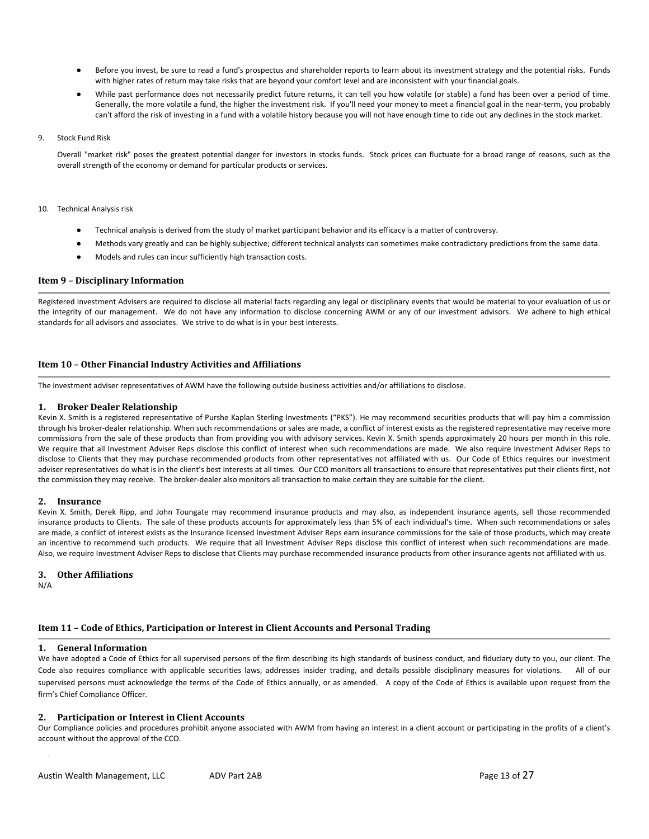- Before you invest, be sure to read a fund's prospectus and shareholder reports to learn about its investment strategy and the potential risks. Funds with higher rates of return may take risks that are beyond your comfort level and are inconsistent with your financial goals.
- While past performance does not necessarily predict future returns, it can tell you how volatile (or stable) a fund has been over a period of time. Generally, the more volatile a fund, the higher the investment risk. If you'll need your money to meet a financial goal in the near‐term, you probably can't afford the risk of investing in a fund with a volatile history because you will not have enough time to ride out any declines in the stock market.

#### 9. Stock Fund Risk

Overall "market risk" poses the greatest potential danger for investors in stocks funds. Stock prices can fluctuate for a broad range of reasons, such as the overall strength of the economy or demand for particular products or services.

#### 10. Technical Analysis risk

- Technical analysis is derived from the study of market participant behavior and its efficacy is a matter of controversy.
- Methods vary greatly and can be highly subjective; different technical analysts can sometimes make contradictory predictions from the same data.
- Models and rules can incur sufficiently high transaction costs.

# **Item 9 – Disciplinary Information**

Registered Investment Advisers are required to disclose all material facts regarding any legal or disciplinary events that would be material to your evaluation of us or the integrity of our management. We do not have any information to disclose concerning AWM or any of our investment advisors. We adhere to high ethical standards for all advisors and associates. We strive to do what is in your best interests.

# **Item 10 – Other Financial Industry Activities and Affiliations**

The investment adviser representatives of AWM have the following outside business activities and/or affiliations to disclose.

#### **1. Broker Dealer Relationship**

Kevin X. Smith is a registered representative of Purshe Kaplan Sterling Investments ("PKS"). He may recommend securities products that will pay him a commission through his broker‐dealer relationship. When such recommendations or sales are made, a conflict of interest exists as the registered representative may receive more commissions from the sale of these products than from providing you with advisory services. Kevin X. Smith spends approximately 20 hours per month in this role. We require that all Investment Adviser Reps disclose this conflict of interest when such recommendations are made. We also require Investment Adviser Reps to disclose to Clients that they may purchase recommended products from other representatives not affiliated with us. Our Code of Ethics requires our investment adviser representatives do what is in the client's best interests at all times. Our CCO monitors all transactions to ensure that representatives put their clients first, not the commission they may receive. The broker‐dealer also monitors all transaction to make certain they are suitable for the client.

# **2. Insurance**

Kevin X. Smith, Derek Ripp, and John Toungate may recommend insurance products and may also, as independent insurance agents, sell those recommended insurance products to Clients. The sale of these products accounts for approximately less than 5% of each individual's time. When such recommendations or sales are made, a conflict of interest exists as the Insurance licensed Investment Adviser Reps earn insurance commissions for the sale of those products, which may create an incentive to recommend such products. We require that all Investment Adviser Reps disclose this conflict of interest when such recommendations are made. Also, we require Investment Adviser Reps to disclose that Clients may purchase recommended insurance products from other insurance agents not affiliated with us.

#### **3. Other Affiliations**

N/A

# **Item 11 – Code of Ethics, Participation or Interest in Client Accounts and Personal Trading**

#### **1. General Information**

We have adopted a Code of Ethics for all supervised persons of the firm describing its high standards of business conduct, and fiduciary duty to you, our client. The Code also requires compliance with applicable securities laws, addresses insider trading, and details possible disciplinary measures for violations. All of our supervised persons must acknowledge the terms of the Code of Ethics annually, or as amended. A copy of the Code of Ethics is available upon request from the firm's Chief Compliance Officer.

# **2. Participation or Interest in Client Accounts**

Our Compliance policies and procedures prohibit anyone associated with AWM from having an interest in a client account or participating in the profits of a client's account without the approval of the CCO.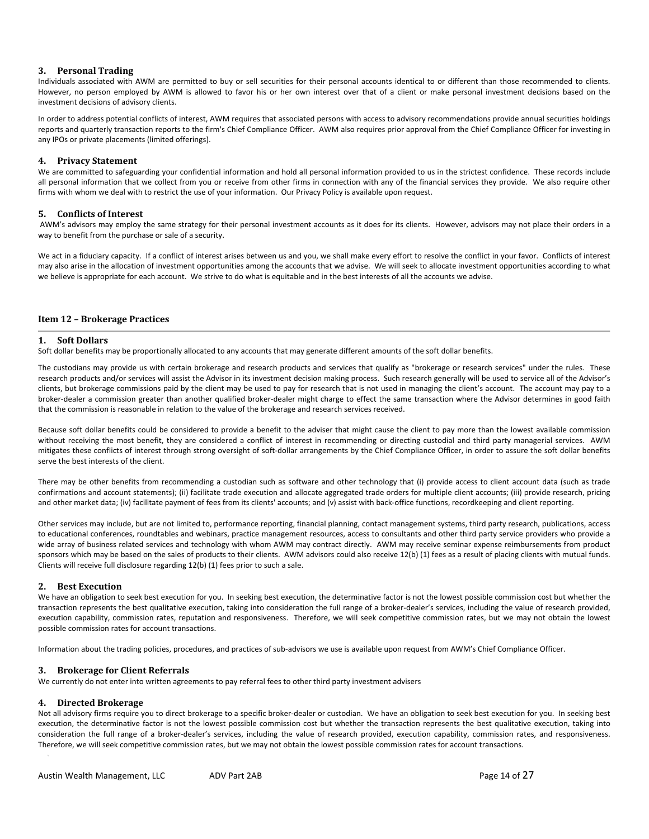# **3. Personal Trading**

Individuals associated with AWM are permitted to buy or sell securities for their personal accounts identical to or different than those recommended to clients. However, no person employed by AWM is allowed to favor his or her own interest over that of a client or make personal investment decisions based on the investment decisions of advisory clients.

In order to address potential conflicts of interest, AWM requires that associated persons with access to advisory recommendations provide annual securities holdings reports and quarterly transaction reports to the firm's Chief Compliance Officer. AWM also requires prior approval from the Chief Compliance Officer for investing in any IPOs or private placements (limited offerings).

# **4. Privacy Statement**

We are committed to safeguarding your confidential information and hold all personal information provided to us in the strictest confidence. These records include all personal information that we collect from you or receive from other firms in connection with any of the financial services they provide. We also require other firms with whom we deal with to restrict the use of your information. Our Privacy Policy is available upon request.

# **5. Conflicts of Interest**

AWM's advisors may employ the same strategy for their personal investment accounts as it does for its clients. However, advisors may not place their orders in a way to benefit from the purchase or sale of a security.

We act in a fiduciary capacity. If a conflict of interest arises between us and you, we shall make every effort to resolve the conflict in your favor. Conflicts of interest may also arise in the allocation of investment opportunities among the accounts that we advise. We will seek to allocate investment opportunities according to what we believe is appropriate for each account. We strive to do what is equitable and in the best interests of all the accounts we advise.

# **Item 12 – Brokerage Practices**

#### **1. Soft Dollars**

Soft dollar benefits may be proportionally allocated to any accounts that may generate different amounts of the soft dollar benefits.

The custodians may provide us with certain brokerage and research products and services that qualify as "brokerage or research services" under the rules. These research products and/or services will assist the Advisor in its investment decision making process. Such research generally will be used to service all of the Advisor's clients, but brokerage commissions paid by the client may be used to pay for research that is not used in managing the client's account. The account may pay to a broker-dealer a commission greater than another qualified broker-dealer might charge to effect the same transaction where the Advisor determines in good faith that the commission is reasonable in relation to the value of the brokerage and research services received.

Because soft dollar benefits could be considered to provide a benefit to the adviser that might cause the client to pay more than the lowest available commission without receiving the most benefit, they are considered a conflict of interest in recommending or directing custodial and third party managerial services. AWM mitigates these conflicts of interest through strong oversight of soft‐dollar arrangements by the Chief Compliance Officer, in order to assure the soft dollar benefits serve the best interests of the client.

There may be other benefits from recommending a custodian such as software and other technology that (i) provide access to client account data (such as trade confirmations and account statements); (ii) facilitate trade execution and allocate aggregated trade orders for multiple client accounts; (iii) provide research, pricing and other market data; (iv) facilitate payment of fees from its clients' accounts; and (v) assist with back-office functions, recordkeeping and client reporting.

Other services may include, but are not limited to, performance reporting, financial planning, contact management systems, third party research, publications, access to educational conferences, roundtables and webinars, practice management resources, access to consultants and other third party service providers who provide a wide array of business related services and technology with whom AWM may contract directly. AWM may receive seminar expense reimbursements from product sponsors which may be based on the sales of products to their clients. AWM advisors could also receive 12(b) (1) fees as a result of placing clients with mutual funds. Clients will receive full disclosure regarding 12(b) (1) fees prior to such a sale.

#### **2. Best Execution**

We have an obligation to seek best execution for you. In seeking best execution, the determinative factor is not the lowest possible commission cost but whether the transaction represents the best qualitative execution, taking into consideration the full range of a broker-dealer's services, including the value of research provided, execution capability, commission rates, reputation and responsiveness. Therefore, we will seek competitive commission rates, but we may not obtain the lowest possible commission rates for account transactions.

Information about the trading policies, procedures, and practices of sub‐advisors we use is available upon request from AWM's Chief Compliance Officer.

#### **3. Brokerage for Client Referrals**

We currently do not enter into written agreements to pay referral fees to other third party investment advisers

#### **4. Directed Brokerage**

Not all advisory firms require you to direct brokerage to a specific broker-dealer or custodian. We have an obligation to seek best execution for you. In seeking best execution, the determinative factor is not the lowest possible commission cost but whether the transaction represents the best qualitative execution, taking into consideration the full range of a broker‐dealer's services, including the value of research provided, execution capability, commission rates, and responsiveness. Therefore, we will seek competitive commission rates, but we may not obtain the lowest possible commission rates for account transactions.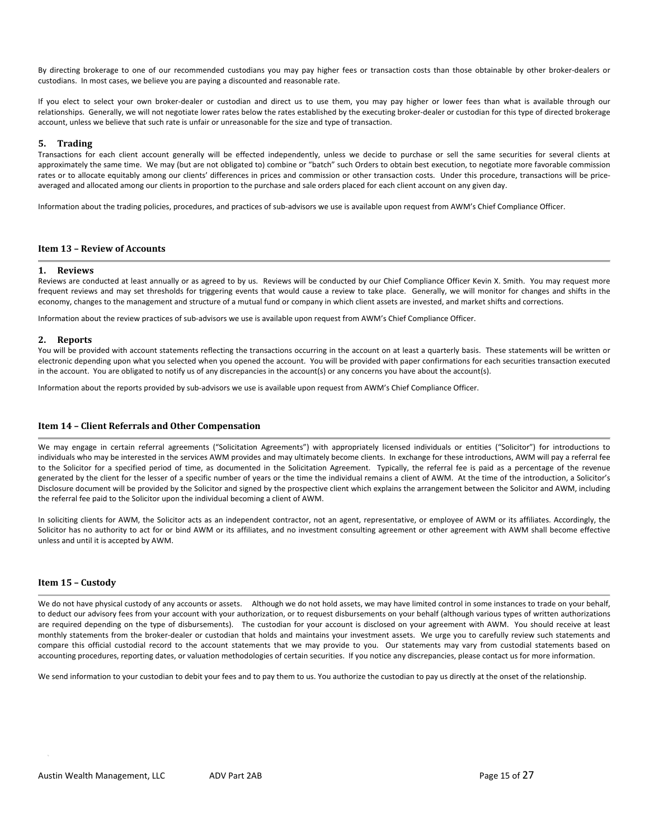By directing brokerage to one of our recommended custodians you may pay higher fees or transaction costs than those obtainable by other broker‐dealers or custodians. In most cases, we believe you are paying a discounted and reasonable rate.

If you elect to select your own broker-dealer or custodian and direct us to use them, you may pay higher or lower fees than what is available through our relationships. Generally, we will not negotiate lower rates below the rates established by the executing broker-dealer or custodian for this type of directed brokerage account, unless we believe that such rate is unfair or unreasonable for the size and type of transaction.

#### **5. Trading**

Transactions for each client account generally will be effected independently, unless we decide to purchase or sell the same securities for several clients at approximately the same time. We may (but are not obligated to) combine or "batch" such Orders to obtain best execution, to negotiate more favorable commission rates or to allocate equitably among our clients' differences in prices and commission or other transaction costs. Under this procedure, transactions will be priceaveraged and allocated among our clients in proportion to the purchase and sale orders placed for each client account on any given day.

Information about the trading policies, procedures, and practices of sub‐advisors we use is available upon request from AWM's Chief Compliance Officer.

# **Item 13 – Review of Accounts**

#### **1. Reviews**

Reviews are conducted at least annually or as agreed to by us. Reviews will be conducted by our Chief Compliance Officer Kevin X. Smith. You may request more frequent reviews and may set thresholds for triggering events that would cause a review to take place. Generally, we will monitor for changes and shifts in the economy, changes to the management and structure of a mutual fund or company in which client assets are invested, and market shifts and corrections.

Information about the review practices of sub‐advisors we use is available upon request from AWM's Chief Compliance Officer.

#### **2. Reports**

You will be provided with account statements reflecting the transactions occurring in the account on at least a quarterly basis. These statements will be written or electronic depending upon what you selected when you opened the account. You will be provided with paper confirmations for each securities transaction executed in the account. You are obligated to notify us of any discrepancies in the account(s) or any concerns you have about the account(s).

Information about the reports provided by sub‐advisors we use is available upon request from AWM's Chief Compliance Officer.

# **Item 14 – Client Referrals and Other Compensation**

We may engage in certain referral agreements ("Solicitation Agreements") with appropriately licensed individuals or entities ("Solicitor") for introductions to individuals who may be interested in the services AWM provides and may ultimately become clients. In exchange for these introductions, AWM will pay a referral fee to the Solicitor for a specified period of time, as documented in the Solicitation Agreement. Typically, the referral fee is paid as a percentage of the revenue generated by the client for the lesser of a specific number of years or the time the individual remains a client of AWM. At the time of the introduction, a Solicitor's Disclosure document will be provided by the Solicitor and signed by the prospective client which explains the arrangement between the Solicitor and AWM, including the referral fee paid to the Solicitor upon the individual becoming a client of AWM.

In soliciting clients for AWM, the Solicitor acts as an independent contractor, not an agent, representative, or employee of AWM or its affiliates. Accordingly, the Solicitor has no authority to act for or bind AWM or its affiliates, and no investment consulting agreement or other agreement with AWM shall become effective unless and until it is accepted by AWM.

#### **Item 15 – Custody**

We do not have physical custody of any accounts or assets. Although we do not hold assets, we may have limited control in some instances to trade on your behalf, to deduct our advisory fees from your account with your authorization, or to request disbursements on your behalf (although various types of written authorizations are required depending on the type of disbursements). The custodian for your account is disclosed on your agreement with AWM. You should receive at least monthly statements from the broker-dealer or custodian that holds and maintains your investment assets. We urge you to carefully review such statements and compare this official custodial record to the account statements that we may provide to you. Our statements may vary from custodial statements based on accounting procedures, reporting dates, or valuation methodologies of certain securities. If you notice any discrepancies, please contact us for more information.

We send information to your custodian to debit your fees and to pay them to us. You authorize the custodian to pay us directly at the onset of the relationship.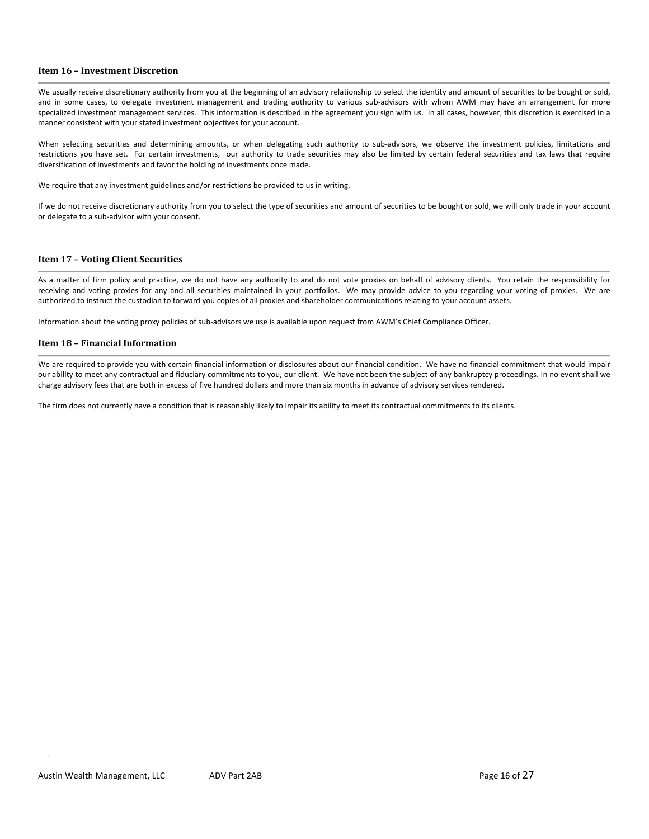# **Item 16 – Investment Discretion**

We usually receive discretionary authority from you at the beginning of an advisory relationship to select the identity and amount of securities to be bought or sold, and in some cases, to delegate investment management and trading authority to various sub-advisors with whom AWM may have an arrangement for more specialized investment management services. This information is described in the agreement you sign with us. In all cases, however, this discretion is exercised in a manner consistent with your stated investment objectives for your account.

When selecting securities and determining amounts, or when delegating such authority to sub-advisors, we observe the investment policies, limitations and restrictions you have set. For certain investments, our authority to trade securities may also be limited by certain federal securities and tax laws that require diversification of investments and favor the holding of investments once made.

We require that any investment guidelines and/or restrictions be provided to us in writing.

If we do not receive discretionary authority from you to select the type of securities and amount of securities to be bought or sold, we will only trade in your account or delegate to a sub‐advisor with your consent.

#### **Item 17 – Voting Client Securities**

As a matter of firm policy and practice, we do not have any authority to and do not vote proxies on behalf of advisory clients. You retain the responsibility for receiving and voting proxies for any and all securities maintained in your portfolios. We may provide advice to you regarding your voting of proxies. We are authorized to instruct the custodian to forward you copies of all proxies and shareholder communications relating to your account assets.

Information about the voting proxy policies of sub‐advisors we use is available upon request from AWM's Chief Compliance Officer.

#### **Item 18 – Financial Information**

We are required to provide you with certain financial information or disclosures about our financial condition. We have no financial commitment that would impair our ability to meet any contractual and fiduciary commitments to you, our client. We have not been the subject of any bankruptcy proceedings. In no event shall we charge advisory fees that are both in excess of five hundred dollars and more than six months in advance of advisory services rendered.

The firm does not currently have a condition that is reasonably likely to impair its ability to meet its contractual commitments to its clients.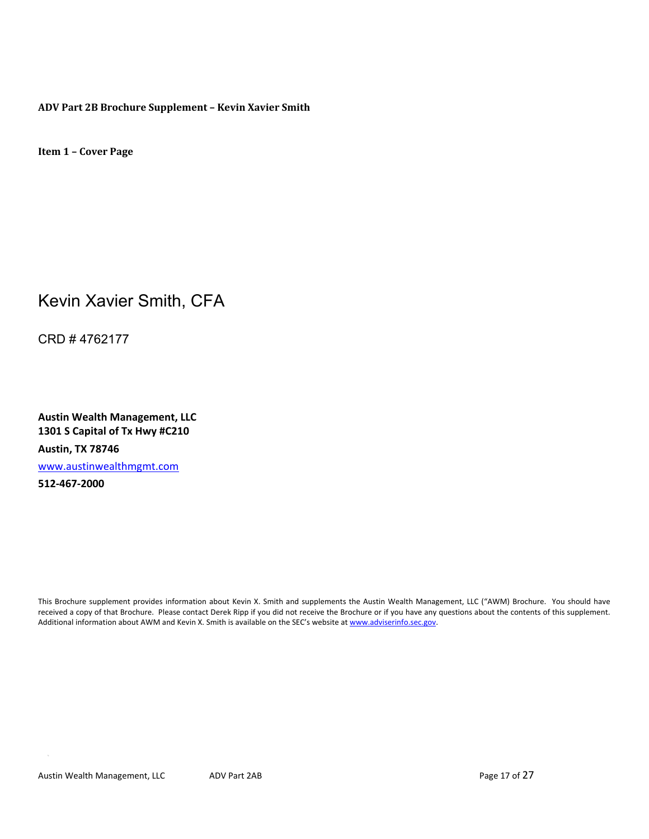**ADV Part 2B Brochure Supplement – Kevin Xavier Smith**

**Item 1 – Cover Page**

# Kevin Xavier Smith, CFA

CRD # 4762177

**Austin Wealth Management, LLC 1301 S Capital of Tx Hwy #C210 Austin, TX 78746** www.austinwealthmgmt.com **512‐467‐2000**

This Brochure supplement provides information about Kevin X. Smith and supplements the Austin Wealth Management, LLC ("AWM) Brochure. You should have received a copy of that Brochure. Please contact Derek Ripp if you did not receive the Brochure or if you have any questions about the contents of this supplement. Additional information about AWM and Kevin X. Smith is available on the SEC's website at www.adviserinfo.sec.gov.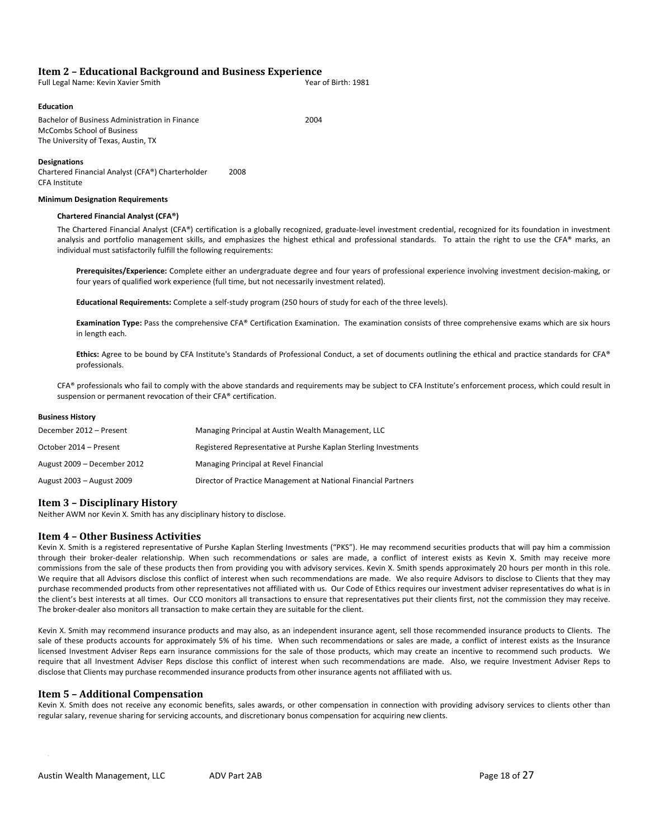# **Item 2 – Educational Background and Business Experience**

| Year of Birth: 1981 |
|---------------------|
|                     |

## **Education**

Bachelor of Business Administration in Finance 2004 McCombs School of Business The University of Texas, Austin, TX

#### **Designations**

Chartered Financial Analyst (CFA®) Charterholder 2008 CFA Institute

### **Minimum Designation Requirements**

#### **Chartered Financial Analyst (CFA®)**

The Chartered Financial Analyst (CFA®) certification is a globally recognized, graduate-level investment credential, recognized for its foundation in investment analysis and portfolio management skills, and emphasizes the highest ethical and professional standards. To attain the right to use the CFA® marks, an individual must satisfactorily fulfill the following requirements:

**Prerequisites/Experience:** Complete either an undergraduate degree and four years of professional experience involving investment decision‐making, or four years of qualified work experience (full time, but not necessarily investment related).

**Educational Requirements:** Complete a self‐study program (250 hours of study for each of the three levels).

**Examination Type:** Pass the comprehensive CFA® Certification Examination. The examination consists of three comprehensive exams which are six hours in length each.

**Ethics:** Agree to be bound by CFA Institute's Standards of Professional Conduct, a set of documents outlining the ethical and practice standards for CFA® professionals.

CFA® professionals who fail to comply with the above standards and requirements may be subject to CFA Institute's enforcement process, which could result in suspension or permanent revocation of their CFA® certification.

### **Business History**

| December 2012 - Present     | Managing Principal at Austin Wealth Management, LLC             |
|-----------------------------|-----------------------------------------------------------------|
| October 2014 – Present      | Registered Representative at Purshe Kaplan Sterling Investments |
| August 2009 - December 2012 | Managing Principal at Revel Financial                           |
| August 2003 - August 2009   | Director of Practice Management at National Financial Partners  |

# **Item 3 – Disciplinary History**

Neither AWM nor Kevin X. Smith has any disciplinary history to disclose.

# **Item 4 – Other Business Activities**

Kevin X. Smith is a registered representative of Purshe Kaplan Sterling Investments ("PKS"). He may recommend securities products that will pay him a commission through their broker‐dealer relationship. When such recommendations or sales are made, a conflict of interest exists as Kevin X. Smith may receive more commissions from the sale of these products then from providing you with advisory services. Kevin X. Smith spends approximately 20 hours per month in this role. We require that all Advisors disclose this conflict of interest when such recommendations are made. We also require Advisors to disclose to Clients that they may purchase recommended products from other representatives not affiliated with us. Our Code of Ethics requires our investment adviser representatives do what is in the client's best interests at all times. Our CCO monitors all transactions to ensure that representatives put their clients first, not the commission they may receive. The broker‐dealer also monitors all transaction to make certain they are suitable for the client.

Kevin X. Smith may recommend insurance products and may also, as an independent insurance agent, sell those recommended insurance products to Clients. The sale of these products accounts for approximately 5% of his time. When such recommendations or sales are made, a conflict of interest exists as the Insurance licensed Investment Adviser Reps earn insurance commissions for the sale of those products, which may create an incentive to recommend such products. We require that all Investment Adviser Reps disclose this conflict of interest when such recommendations are made. Also, we require Investment Adviser Reps to disclose that Clients may purchase recommended insurance products from other insurance agents not affiliated with us.

# **Item 5 – Additional Compensation**

Kevin X. Smith does not receive any economic benefits, sales awards, or other compensation in connection with providing advisory services to clients other than regular salary, revenue sharing for servicing accounts, and discretionary bonus compensation for acquiring new clients.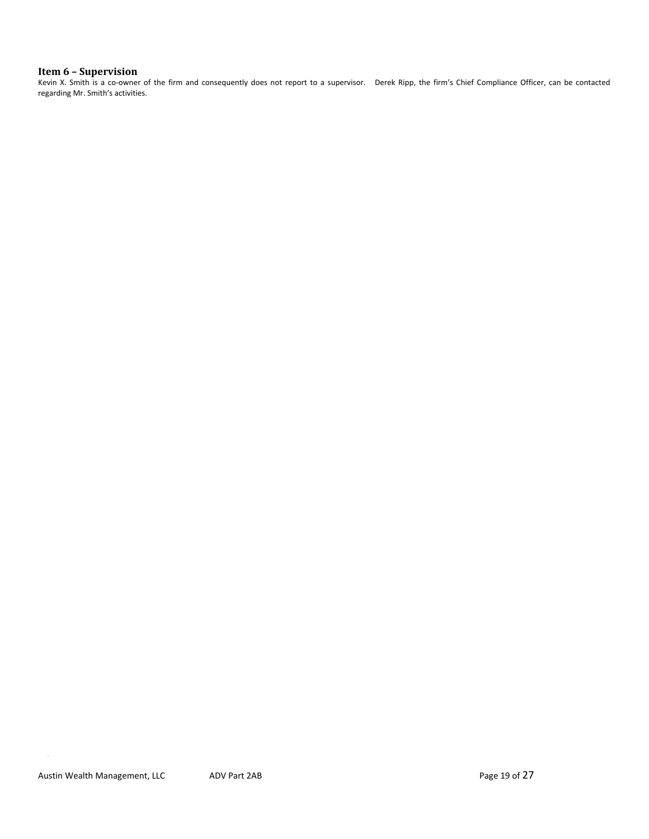# **Item 6 – Supervision**

Kevin X. Smith is a co-owner of the firm and consequently does not report to a supervisor. Derek Ripp, the firm's Chief Compliance Officer, can be contacted regarding Mr. Smith's activities.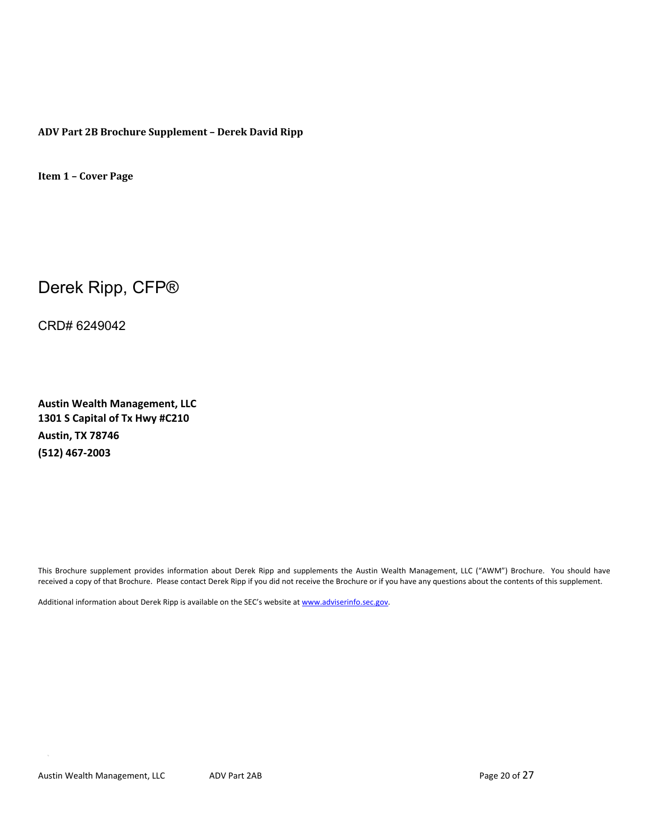**ADV Part 2B Brochure Supplement – Derek David Ripp**

**Item 1 – Cover Page**

Derek Ripp, CFP®

CRD# 6249042

**Austin Wealth Management, LLC 1301 S Capital of Tx Hwy #C210 Austin, TX 78746 (512) 467‐2003**

This Brochure supplement provides information about Derek Ripp and supplements the Austin Wealth Management, LLC ("AWM") Brochure. You should have received a copy of that Brochure. Please contact Derek Ripp if you did not receive the Brochure or if you have any questions about the contents of this supplement.

Additional information about Derek Ripp is available on the SEC's website at www.adviserinfo.sec.gov.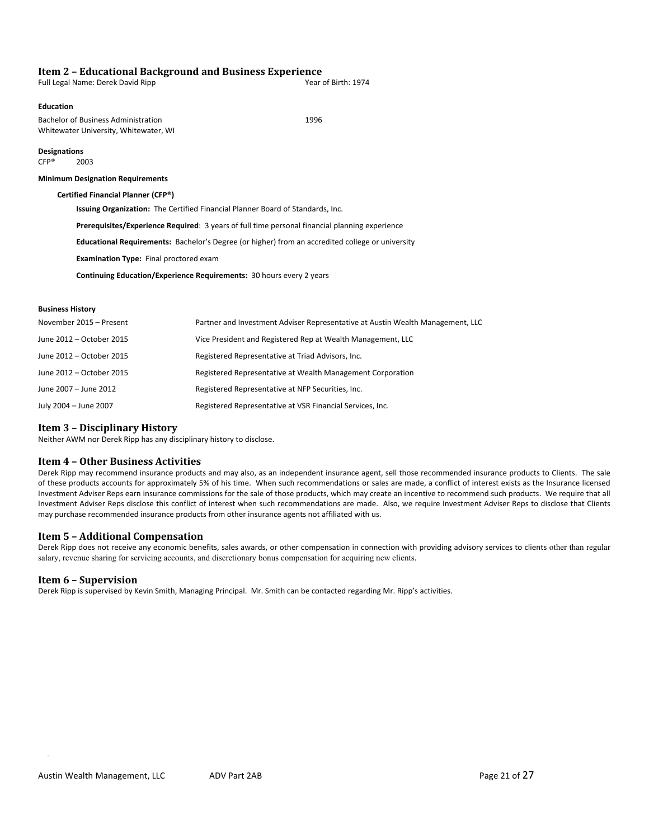# **Item 2 – Educational Background and Business Experience**

| Full Legal Name: Derek David Ripp | Year of Birth: 1974 |
|-----------------------------------|---------------------|
|                                   |                     |

## **Education**

Bachelor of Business Administration **1996** Whitewater University, Whitewater, WI

**Designations** CFP® 2003

#### **Minimum Designation Requirements**

**Certified Financial Planner (CFP®)** 

**Issuing Organization:** The Certified Financial Planner Board of Standards, Inc.

**Prerequisites/Experience Required**: 3 years of full time personal financial planning experience

**Educational Requirements:** Bachelor's Degree (or higher) from an accredited college or university

**Examination Type:** Final proctored exam

**Continuing Education/Experience Requirements:** 30 hours every 2 years

#### **Business History**

| November 2015 - Present  | Partner and Investment Adviser Representative at Austin Wealth Management, LLC |
|--------------------------|--------------------------------------------------------------------------------|
| June 2012 – October 2015 | Vice President and Registered Rep at Wealth Management, LLC                    |
| June 2012 – October 2015 | Registered Representative at Triad Advisors, Inc.                              |
| June 2012 – October 2015 | Registered Representative at Wealth Management Corporation                     |
| June 2007 - June 2012    | Registered Representative at NFP Securities, Inc.                              |
| July 2004 - June 2007    | Registered Representative at VSR Financial Services, Inc.                      |

# **Item 3 – Disciplinary History**

Neither AWM nor Derek Ripp has any disciplinary history to disclose.

# **Item 4 – Other Business Activities**

Derek Ripp may recommend insurance products and may also, as an independent insurance agent, sell those recommended insurance products to Clients. The sale of these products accounts for approximately 5% of his time. When such recommendations or sales are made, a conflict of interest exists as the Insurance licensed Investment Adviser Reps earn insurance commissions for the sale of those products, which may create an incentive to recommend such products. We require that all Investment Adviser Reps disclose this conflict of interest when such recommendations are made. Also, we require Investment Adviser Reps to disclose that Clients may purchase recommended insurance products from other insurance agents not affiliated with us.

# **Item 5 – Additional Compensation**

Derek Ripp does not receive any economic benefits, sales awards, or other compensation in connection with providing advisory services to clients other than regular salary, revenue sharing for servicing accounts, and discretionary bonus compensation for acquiring new clients.

# **Item 6 – Supervision**

Derek Ripp is supervised by Kevin Smith, Managing Principal. Mr. Smith can be contacted regarding Mr. Ripp's activities.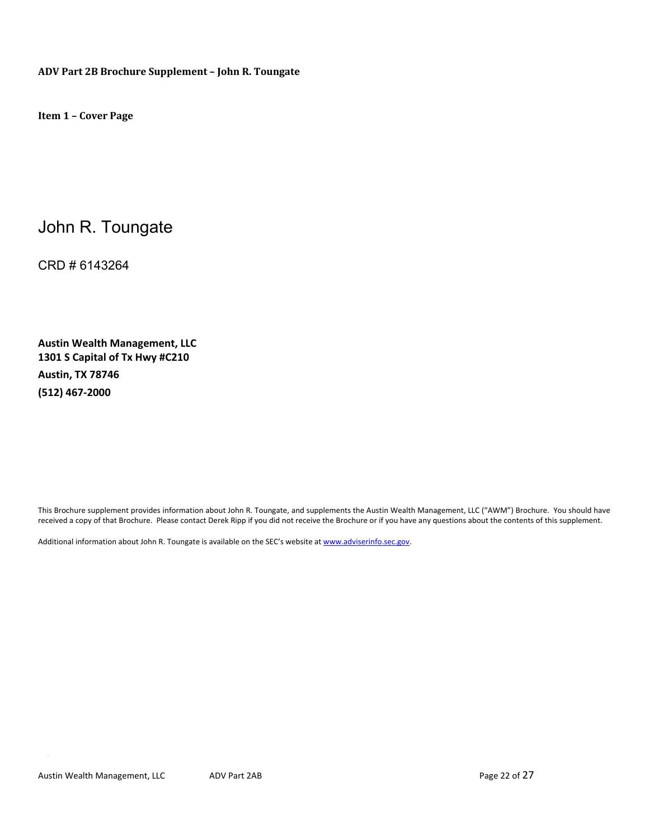**ADV Part 2B Brochure Supplement – John R. Toungate**

**Item 1 – Cover Page**

# John R. Toungate

CRD # 6143264

**Austin Wealth Management, LLC 1301 S Capital of Tx Hwy #C210 Austin, TX 78746 (512) 467‐2000**

This Brochure supplement provides information about John R. Toungate, and supplements the Austin Wealth Management, LLC ("AWM") Brochure. You should have received a copy of that Brochure. Please contact Derek Ripp if you did not receive the Brochure or if you have any questions about the contents of this supplement.

Additional information about John R. Toungate is available on the SEC's website at www.adviserinfo.sec.gov.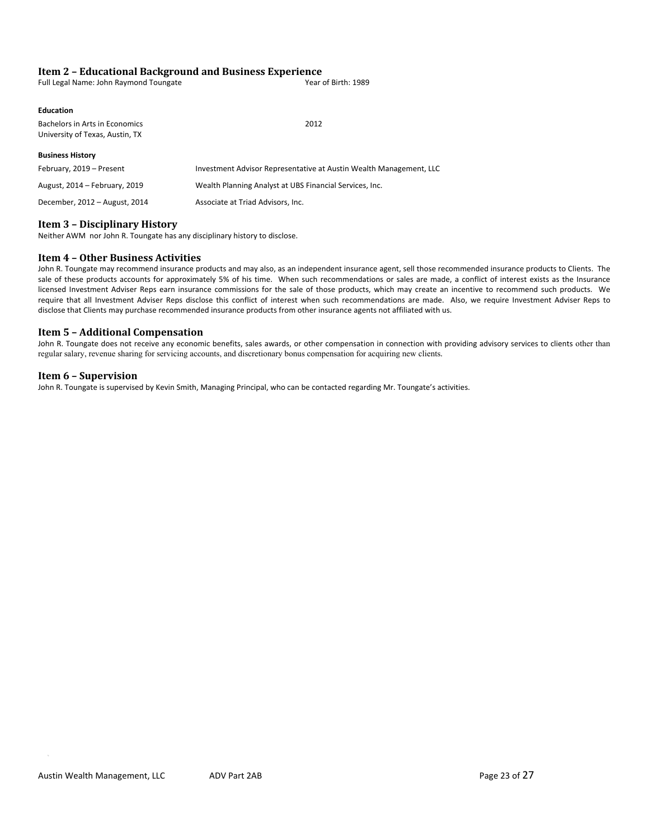# **Item 2 – Educational Background and Business Experience**

| Full Legal Name: John Raymond Toungate | Year of Birth: 1989 |
|----------------------------------------|---------------------|
|----------------------------------------|---------------------|

#### Bachelors in Arts in Economics **2012** University of Texas, Austin, TX

**Business History** February, 2019 – Present **Investment Advisor Representative at Austin Wealth Management**, LLC August, 2014 – February, 2019 Wealth Planning Analyst at UBS Financial Services, Inc. December, 2012 – August, 2014 Associate at Triad Advisors, Inc.

# **Item 3 – Disciplinary History**

Neither AWM nor John R. Toungate has any disciplinary history to disclose.

# **Item 4 – Other Business Activities**

John R. Toungate may recommend insurance products and may also, as an independent insurance agent, sell those recommended insurance products to Clients. The sale of these products accounts for approximately 5% of his time. When such recommendations or sales are made, a conflict of interest exists as the Insurance licensed Investment Adviser Reps earn insurance commissions for the sale of those products, which may create an incentive to recommend such products. We require that all Investment Adviser Reps disclose this conflict of interest when such recommendations are made. Also, we require Investment Adviser Reps to disclose that Clients may purchase recommended insurance products from other insurance agents not affiliated with us.

# **Item 5 – Additional Compensation**

John R. Toungate does not receive any economic benefits, sales awards, or other compensation in connection with providing advisory services to clients other than regular salary, revenue sharing for servicing accounts, and discretionary bonus compensation for acquiring new clients.

# **Item 6 – Supervision**

John R. Toungate is supervised by Kevin Smith, Managing Principal, who can be contacted regarding Mr. Toungate's activities.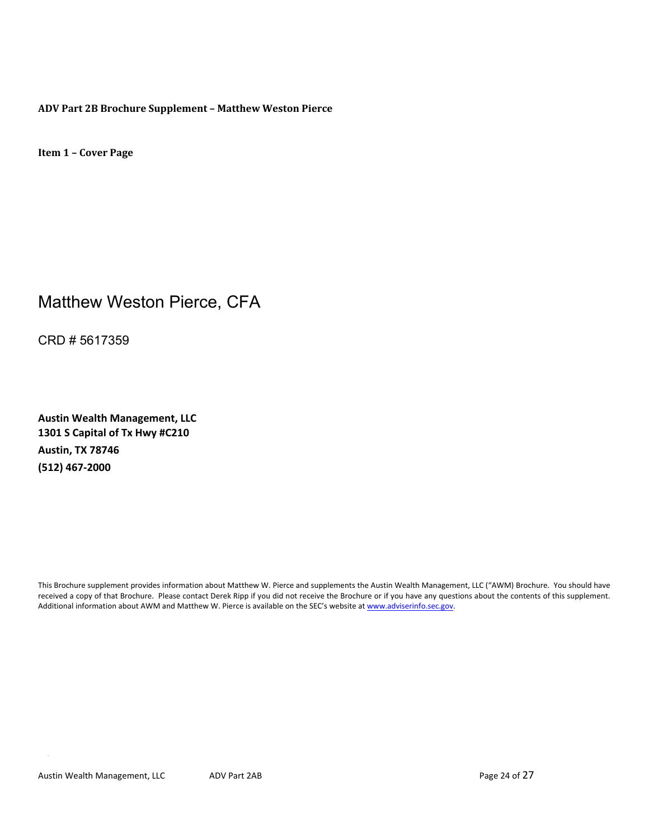**ADV Part 2B Brochure Supplement – Matthew Weston Pierce**

**Item 1 – Cover Page**

# Matthew Weston Pierce, CFA

CRD # 5617359

**Austin Wealth Management, LLC 1301 S Capital of Tx Hwy #C210 Austin, TX 78746 (512) 467‐2000**

This Brochure supplement provides information about Matthew W. Pierce and supplements the Austin Wealth Management, LLC ("AWM) Brochure. You should have received a copy of that Brochure. Please contact Derek Ripp if you did not receive the Brochure or if you have any questions about the contents of this supplement. Additional information about AWM and Matthew W. Pierce is available on the SEC's website at www.adviserinfo.sec.gov.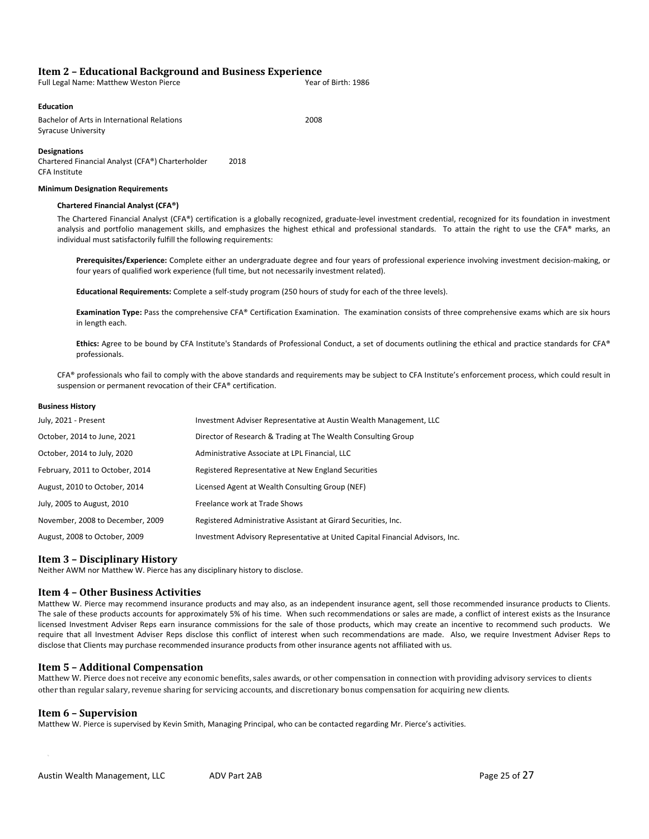# **Item 2 – Educational Background and Business Experience**

| Full Legal Name: Matthew Weston Pierce | Year of Birth: 1986 |
|----------------------------------------|---------------------|
|----------------------------------------|---------------------|

# **Education**

Bachelor of Arts in International Relations **2008** Syracuse University

**Designations**

Chartered Financial Analyst (CFA®) Charterholder 2018 CFA Institute

#### **Minimum Designation Requirements**

#### **Chartered Financial Analyst (CFA®)**

The Chartered Financial Analyst (CFA®) certification is a globally recognized, graduate-level investment credential, recognized for its foundation in investment analysis and portfolio management skills, and emphasizes the highest ethical and professional standards. To attain the right to use the CFA® marks, an individual must satisfactorily fulfill the following requirements:

**Prerequisites/Experience:** Complete either an undergraduate degree and four years of professional experience involving investment decision‐making, or four years of qualified work experience (full time, but not necessarily investment related).

**Educational Requirements:** Complete a self‐study program (250 hours of study for each of the three levels).

**Examination Type:** Pass the comprehensive CFA® Certification Examination. The examination consists of three comprehensive exams which are six hours in length each.

**Ethics:** Agree to be bound by CFA Institute's Standards of Professional Conduct, a set of documents outlining the ethical and practice standards for CFA® professionals.

CFA® professionals who fail to comply with the above standards and requirements may be subject to CFA Institute's enforcement process, which could result in suspension or permanent revocation of their CFA® certification.

#### **Business History**

| July, 2021 - Present             | Investment Adviser Representative at Austin Wealth Management, LLC            |
|----------------------------------|-------------------------------------------------------------------------------|
| October, 2014 to June, 2021      | Director of Research & Trading at The Wealth Consulting Group                 |
| October, 2014 to July, 2020      | Administrative Associate at LPL Financial, LLC                                |
| February, 2011 to October, 2014  | Registered Representative at New England Securities                           |
| August, 2010 to October, 2014    | Licensed Agent at Wealth Consulting Group (NEF)                               |
| July, 2005 to August, 2010       | Freelance work at Trade Shows                                                 |
| November, 2008 to December, 2009 | Registered Administrative Assistant at Girard Securities, Inc.                |
| August, 2008 to October, 2009    | Investment Advisory Representative at United Capital Financial Advisors, Inc. |

#### **Item 3 – Disciplinary History**

Neither AWM nor Matthew W. Pierce has any disciplinary history to disclose.

#### **Item 4 – Other Business Activities**

Matthew W. Pierce may recommend insurance products and may also, as an independent insurance agent, sell those recommended insurance products to Clients. The sale of these products accounts for approximately 5% of his time. When such recommendations or sales are made, a conflict of interest exists as the Insurance licensed Investment Adviser Reps earn insurance commissions for the sale of those products, which may create an incentive to recommend such products. We require that all Investment Adviser Reps disclose this conflict of interest when such recommendations are made. Also, we require Investment Adviser Reps to disclose that Clients may purchase recommended insurance products from other insurance agents not affiliated with us.

# **Item 5 – Additional Compensation**

Matthew W. Pierce does not receive any economic benefits, sales awards, or other compensation in connection with providing advisory services to clients other than regular salary, revenue sharing for servicing accounts, and discretionary bonus compensation for acquiring new clients.

#### **Item 6 – Supervision**

Matthew W. Pierce is supervised by Kevin Smith, Managing Principal, who can be contacted regarding Mr. Pierce's activities.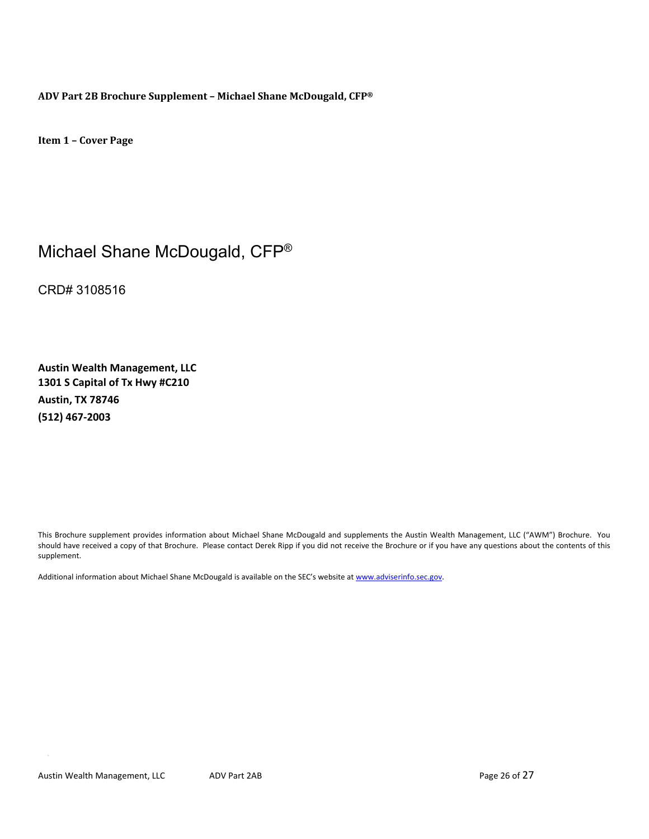**ADV Part 2B Brochure Supplement – Michael Shane McDougald, CFP®**

**Item 1 – Cover Page**

# Michael Shane McDougald, CFP®

CRD# 3108516

**Austin Wealth Management, LLC 1301 S Capital of Tx Hwy #C210 Austin, TX 78746 (512) 467‐2003**

This Brochure supplement provides information about Michael Shane McDougald and supplements the Austin Wealth Management, LLC ("AWM") Brochure. You should have received a copy of that Brochure. Please contact Derek Ripp if you did not receive the Brochure or if you have any questions about the contents of this supplement.

Additional information about Michael Shane McDougald is available on the SEC's website at www.adviserinfo.sec.gov.